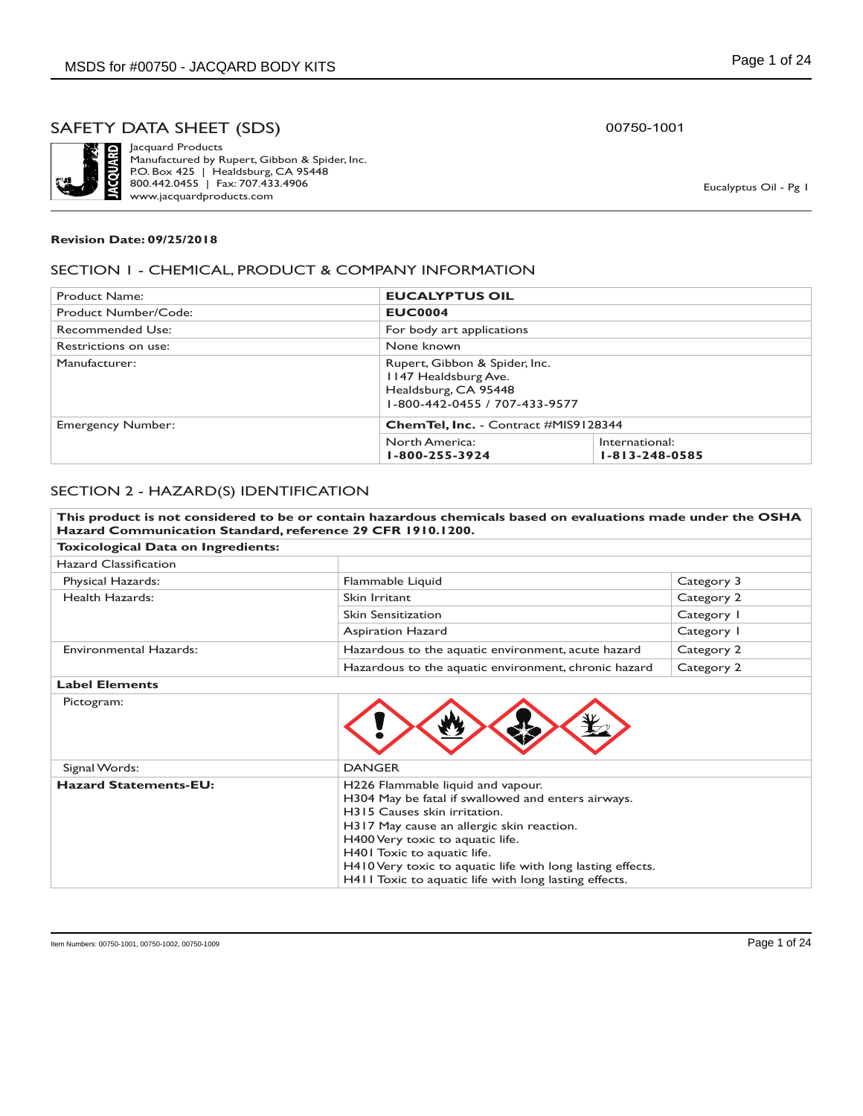

Jacquard Products Manufactured by Rupert, Gibbon & Spider, Inc. P.O. Box 425 | Healdsburg, CA 95448 800.442.0455 | Fax: 707.433.4906 www.jacquardproducts.com

00750-1001

Eucalyptus Oil - Pg 1

#### **Revision Date: 09/25/2018**

### SECTION 1 - CHEMICAL, PRODUCT & COMPANY INFORMATION

| Product Name:            | <b>EUCALYPTUS OIL</b>                                                                                          |                                             |  |
|--------------------------|----------------------------------------------------------------------------------------------------------------|---------------------------------------------|--|
| Product Number/Code:     | <b>EUC0004</b>                                                                                                 |                                             |  |
| <b>Recommended Use:</b>  | For body art applications                                                                                      |                                             |  |
| Restrictions on use:     | None known                                                                                                     |                                             |  |
| Manufacturer:            | Rupert, Gibbon & Spider, Inc.<br>1147 Healdsburg Ave.<br>Healdsburg, CA 95448<br>1-800-442-0455 / 707-433-9577 |                                             |  |
| <b>Emergency Number:</b> |                                                                                                                | <b>ChemTel, Inc.</b> - Contract #MIS9128344 |  |
|                          | North America:<br>1-800-255-3924                                                                               | International:<br>$1 - 813 - 248 - 0585$    |  |

### SECTION 2 - HAZARD(S) IDENTIFICATION

| Hazard Communication Standard, reference 29 CFR 1910.1200. | This product is not considered to be or contain hazardous chemicals based on evaluations made under the OSHA                                                                                                                                                                                                                                                   |            |
|------------------------------------------------------------|----------------------------------------------------------------------------------------------------------------------------------------------------------------------------------------------------------------------------------------------------------------------------------------------------------------------------------------------------------------|------------|
| Toxicological Data on Ingredients:                         |                                                                                                                                                                                                                                                                                                                                                                |            |
| <b>Hazard Classification</b>                               |                                                                                                                                                                                                                                                                                                                                                                |            |
| Physical Hazards:                                          | Flammable Liquid                                                                                                                                                                                                                                                                                                                                               | Category 3 |
| Health Hazards:                                            | Skin Irritant                                                                                                                                                                                                                                                                                                                                                  | Category 2 |
|                                                            | <b>Skin Sensitization</b>                                                                                                                                                                                                                                                                                                                                      | Category I |
|                                                            | <b>Aspiration Hazard</b>                                                                                                                                                                                                                                                                                                                                       | Category I |
| <b>Environmental Hazards:</b>                              | Hazardous to the aquatic environment, acute hazard                                                                                                                                                                                                                                                                                                             | Category 2 |
|                                                            | Hazardous to the aquatic environment, chronic hazard                                                                                                                                                                                                                                                                                                           | Category 2 |
| <b>Label Elements</b>                                      |                                                                                                                                                                                                                                                                                                                                                                |            |
| Pictogram:                                                 |                                                                                                                                                                                                                                                                                                                                                                |            |
| Signal Words:                                              | <b>DANGER</b>                                                                                                                                                                                                                                                                                                                                                  |            |
| <b>Hazard Statements-EU:</b>                               | H226 Flammable liquid and vapour.<br>H304 May be fatal if swallowed and enters airways.<br>H315 Causes skin irritation.<br>H317 May cause an allergic skin reaction.<br>H400 Very toxic to aquatic life.<br>H401 Toxic to aquatic life.<br>H410 Very toxic to aquatic life with long lasting effects.<br>H411 Toxic to aquatic life with long lasting effects. |            |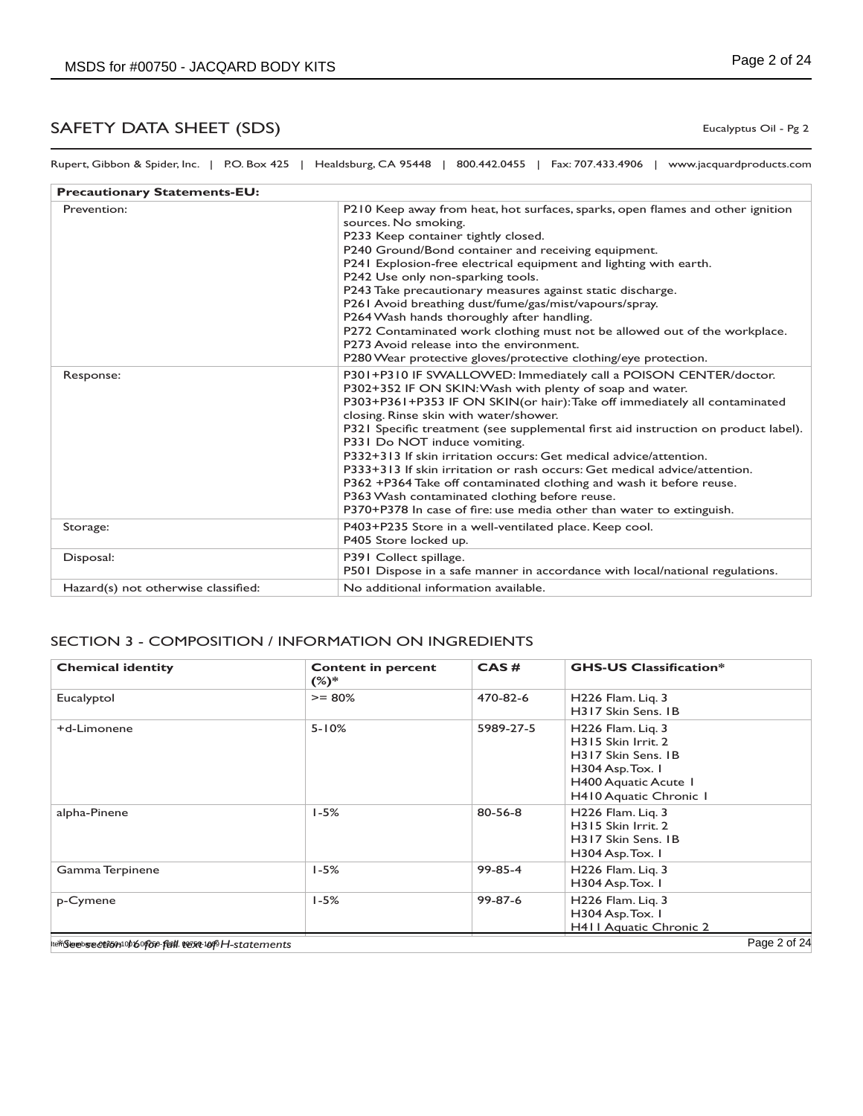Eucalyptus Oil - Pg 2

| Rupert, Gibbon & Spider, Inc.   P.O. Box 425   Healdsburg, CA 95448   800.442.0455   Fax: 707.433.4906   www.jacquardproducts.com |  |  |                                                                                                |
|-----------------------------------------------------------------------------------------------------------------------------------|--|--|------------------------------------------------------------------------------------------------|
| <b>Precautionary Statements-EU:</b>                                                                                               |  |  |                                                                                                |
| Provention:                                                                                                                       |  |  | <b>P<sub>210</sub></b> Keep away from heat bot surfaces sparks, open flames and other ignition |

| Prevention:                         | P210 Keep away from heat, hot surfaces, sparks, open flames and other ignition<br>sources. No smoking.<br>P233 Keep container tightly closed.<br>P240 Ground/Bond container and receiving equipment.<br>P241 Explosion-free electrical equipment and lighting with earth.<br>P242 Use only non-sparking tools.<br>P243 Take precautionary measures against static discharge.<br>P261 Avoid breathing dust/fume/gas/mist/vapours/spray.<br>P264 Wash hands thoroughly after handling.<br>P272 Contaminated work clothing must not be allowed out of the workplace.<br>P273 Avoid release into the environment.<br>P280 Wear protective gloves/protective clothing/eye protection.                                            |
|-------------------------------------|-----------------------------------------------------------------------------------------------------------------------------------------------------------------------------------------------------------------------------------------------------------------------------------------------------------------------------------------------------------------------------------------------------------------------------------------------------------------------------------------------------------------------------------------------------------------------------------------------------------------------------------------------------------------------------------------------------------------------------|
| Response:                           | P301+P310 IF SWALLOWED: Immediately call a POISON CENTER/doctor.<br>P302+352 IF ON SKIN: Wash with plenty of soap and water.<br>P303+P361+P353 IF ON SKIN(or hair): Take off immediately all contaminated<br>closing. Rinse skin with water/shower.<br>P321 Specific treatment (see supplemental first aid instruction on product label).<br>P331 Do NOT induce vomiting.<br>P332+313 If skin irritation occurs: Get medical advice/attention.<br>P333+313 If skin irritation or rash occurs: Get medical advice/attention.<br>P362 +P364 Take off contaminated clothing and wash it before reuse.<br>P363 Wash contaminated clothing before reuse.<br>P370+P378 In case of fire: use media other than water to extinguish. |
| Storage:                            | P403+P235 Store in a well-ventilated place. Keep cool.<br>P405 Store locked up.                                                                                                                                                                                                                                                                                                                                                                                                                                                                                                                                                                                                                                             |
| Disposal:                           | P391 Collect spillage.<br>P501 Dispose in a safe manner in accordance with local/national regulations.                                                                                                                                                                                                                                                                                                                                                                                                                                                                                                                                                                                                                      |
| Hazard(s) not otherwise classified: | No additional information available.                                                                                                                                                                                                                                                                                                                                                                                                                                                                                                                                                                                                                                                                                        |

### SECTION 3 - COMPOSITION / INFORMATION ON INGREDIENTS

| <b>Chemical identity</b>                            | <b>Content in percent</b><br>$(%)^*$ | CAS#          | <b>GHS-US Classification*</b>                                                                                                       |
|-----------------------------------------------------|--------------------------------------|---------------|-------------------------------------------------------------------------------------------------------------------------------------|
| Eucalyptol                                          | $>= 80%$                             | 470-82-6      | H226 Flam. Liq. 3<br>H317 Skin Sens. IB                                                                                             |
| +d-Limonene                                         | $5 - 10%$                            | 5989-27-5     | H226 Flam. Lig. 3<br>H315 Skin Irrit. 2<br>H317 Skin Sens. IB<br>H304 Asp. Tox. 1<br>H400 Aquatic Acute 1<br>H410 Aquatic Chronic 1 |
| alpha-Pinene                                        | $1 - 5%$                             | $80 - 56 - 8$ | H226 Flam. Lig. 3<br>H315 Skin Irrit. 2<br>H317 Skin Sens. IB<br>H304 Asp. Tox. 1                                                   |
| Gamma Terpinene                                     | $1 - 5%$                             | $99 - 85 - 4$ | H226 Flam. Lig. 3<br>H304 Asp. Tox. I                                                                                               |
| p-Cymene                                            | $1 - 5%$                             | 99-87-6       | H226 Flam. Lig. 3<br>H304 Asp. Tox. I<br><b>H411 Aguatic Chronic 2</b>                                                              |
| ltertSeebsecutomob6oroso-full.cext-1009H-statements |                                      |               | Page 2 of 24                                                                                                                        |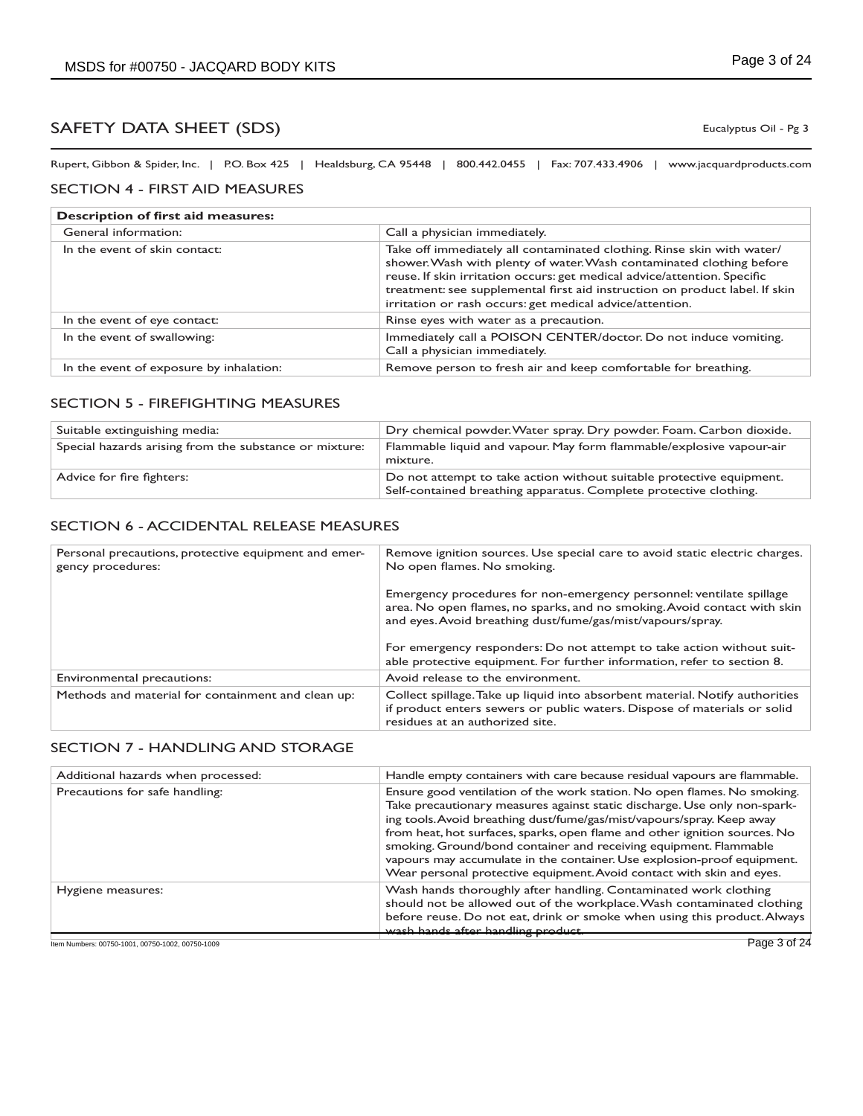Eucalyptus Oil - Pg 3

Rupert, Gibbon & Spider, Inc. | P.O. Box 425 | Healdsburg, CA 95448 | 800.442.0455 | Fax: 707.433.4906 | www.jacquardproducts.com

### SECTION 4 - FIRST AID MEASURES

| <b>Description of first aid measures:</b> |                                                                                                                                                                                                                                                                                                                                                                       |  |
|-------------------------------------------|-----------------------------------------------------------------------------------------------------------------------------------------------------------------------------------------------------------------------------------------------------------------------------------------------------------------------------------------------------------------------|--|
| General information:                      | Call a physician immediately.                                                                                                                                                                                                                                                                                                                                         |  |
| In the event of skin contact:             | Take off immediately all contaminated clothing. Rinse skin with water/<br>shower. Wash with plenty of water. Wash contaminated clothing before<br>reuse. If skin irritation occurs: get medical advice/attention. Specific<br>treatment: see supplemental first aid instruction on product label. If skin<br>irritation or rash occurs: get medical advice/attention. |  |
| In the event of eye contact:              | Rinse eyes with water as a precaution.                                                                                                                                                                                                                                                                                                                                |  |
| In the event of swallowing:               | Immediately call a POISON CENTER/doctor. Do not induce vomiting.<br>Call a physician immediately.                                                                                                                                                                                                                                                                     |  |
| In the event of exposure by inhalation:   | Remove person to fresh air and keep comfortable for breathing.                                                                                                                                                                                                                                                                                                        |  |

### SECTION 5 - FIREFIGHTING MEASURES

| Suitable extinguishing media:                          | Dry chemical powder. Water spray. Dry powder. Foam. Carbon dioxide.                                                                       |
|--------------------------------------------------------|-------------------------------------------------------------------------------------------------------------------------------------------|
| Special hazards arising from the substance or mixture: | Flammable liquid and vapour. May form flammable/explosive vapour-air<br>mixture.                                                          |
| Advice for fire fighters:                              | Do not attempt to take action without suitable protective equipment.<br>Self-contained breathing apparatus. Complete protective clothing. |

#### SECTION 6 - ACCIDENTAL RELEASE MEASURES

| Personal precautions, protective equipment and emer-<br>gency procedures: | Remove ignition sources. Use special care to avoid static electric charges.<br>No open flames. No smoking.                                                                                                      |
|---------------------------------------------------------------------------|-----------------------------------------------------------------------------------------------------------------------------------------------------------------------------------------------------------------|
|                                                                           | Emergency procedures for non-emergency personnel: ventilate spillage<br>area. No open flames, no sparks, and no smoking. Avoid contact with skin<br>and eyes. Avoid breathing dust/fume/gas/mist/vapours/spray. |
|                                                                           | For emergency responders: Do not attempt to take action without suit-<br>able protective equipment. For further information, refer to section 8.                                                                |
| Environmental precautions:                                                | Avoid release to the environment.                                                                                                                                                                               |
| Methods and material for containment and clean up:                        | Collect spillage. Take up liquid into absorbent material. Notify authorities<br>if product enters sewers or public waters. Dispose of materials or solid<br>residues at an authorized site.                     |

### SECTION 7 - HANDLING AND STORAGE

| Additional hazards when processed: | Handle empty containers with care because residual vapours are flammable.                                                                                                                                                                                                                                                                                                                                                                                                                                                              |
|------------------------------------|----------------------------------------------------------------------------------------------------------------------------------------------------------------------------------------------------------------------------------------------------------------------------------------------------------------------------------------------------------------------------------------------------------------------------------------------------------------------------------------------------------------------------------------|
| Precautions for safe handling:     | Ensure good ventilation of the work station. No open flames. No smoking.<br>Take precautionary measures against static discharge. Use only non-spark-<br>ing tools. Avoid breathing dust/fume/gas/mist/vapours/spray. Keep away<br>from heat, hot surfaces, sparks, open flame and other ignition sources. No<br>smoking. Ground/bond container and receiving equipment. Flammable<br>vapours may accumulate in the container. Use explosion-proof equipment.<br>Wear personal protective equipment. Avoid contact with skin and eyes. |
| Hygiene measures:                  | Wash hands thoroughly after handling. Contaminated work clothing<br>should not be allowed out of the workplace. Wash contaminated clothing<br>before reuse. Do not eat, drink or smoke when using this product. Always<br>wash hands after handling product.                                                                                                                                                                                                                                                                           |

Item Numbers: 00750-1001, 00750-1002, 00750-1009 Page 3 of 24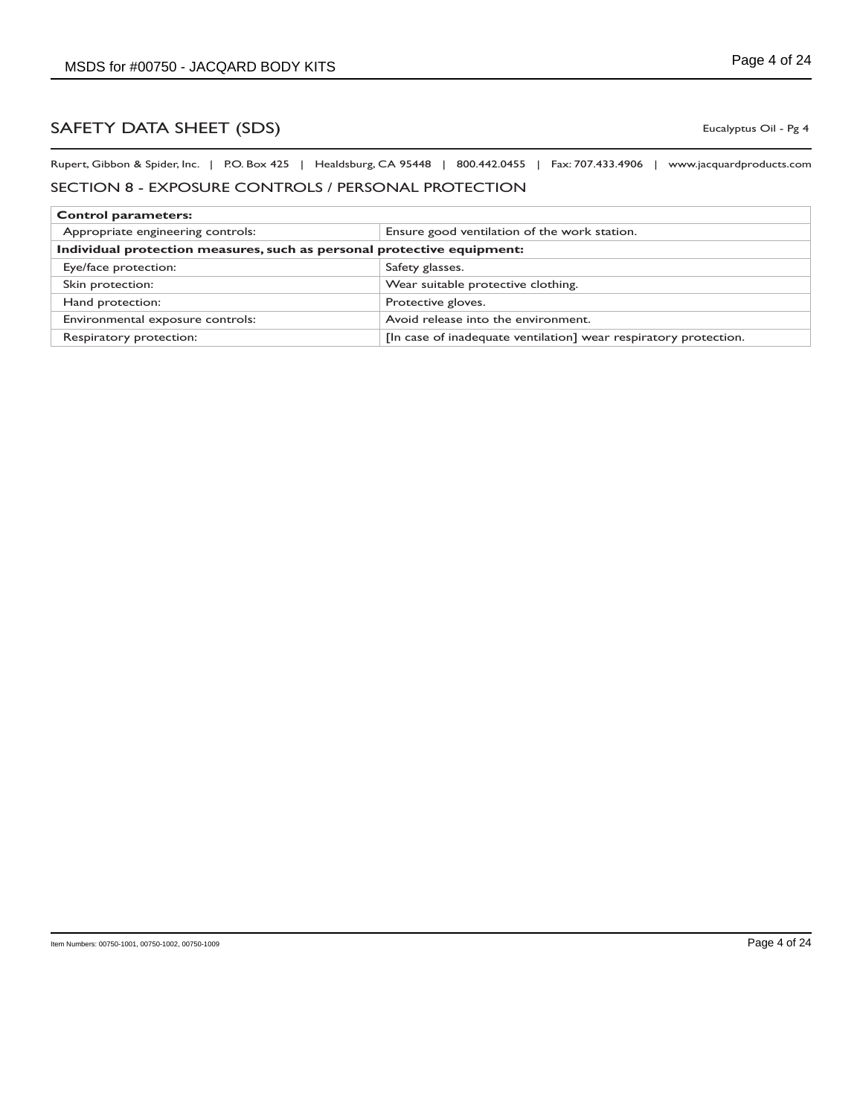Eucalyptus Oil - Pg 4

Rupert, Gibbon & Spider, Inc. | P.O. Box 425 | Healdsburg, CA 95448 | 800.442.0455 | Fax: 707.433.4906 | www.jacquardproducts.com

## SECTION 8 - EXPOSURE CONTROLS / PERSONAL PROTECTION

| <b>Control parameters:</b>                                             |                                                                  |  |
|------------------------------------------------------------------------|------------------------------------------------------------------|--|
| Appropriate engineering controls:                                      | Ensure good ventilation of the work station.                     |  |
| Individual protection measures, such as personal protective equipment: |                                                                  |  |
| Eye/face protection:                                                   | Safety glasses.                                                  |  |
| Skin protection:                                                       | Wear suitable protective clothing.                               |  |
| Hand protection:                                                       | Protective gloves.                                               |  |
| Environmental exposure controls:                                       | Avoid release into the environment.                              |  |
| Respiratory protection:                                                | [In case of inadequate ventilation] wear respiratory protection. |  |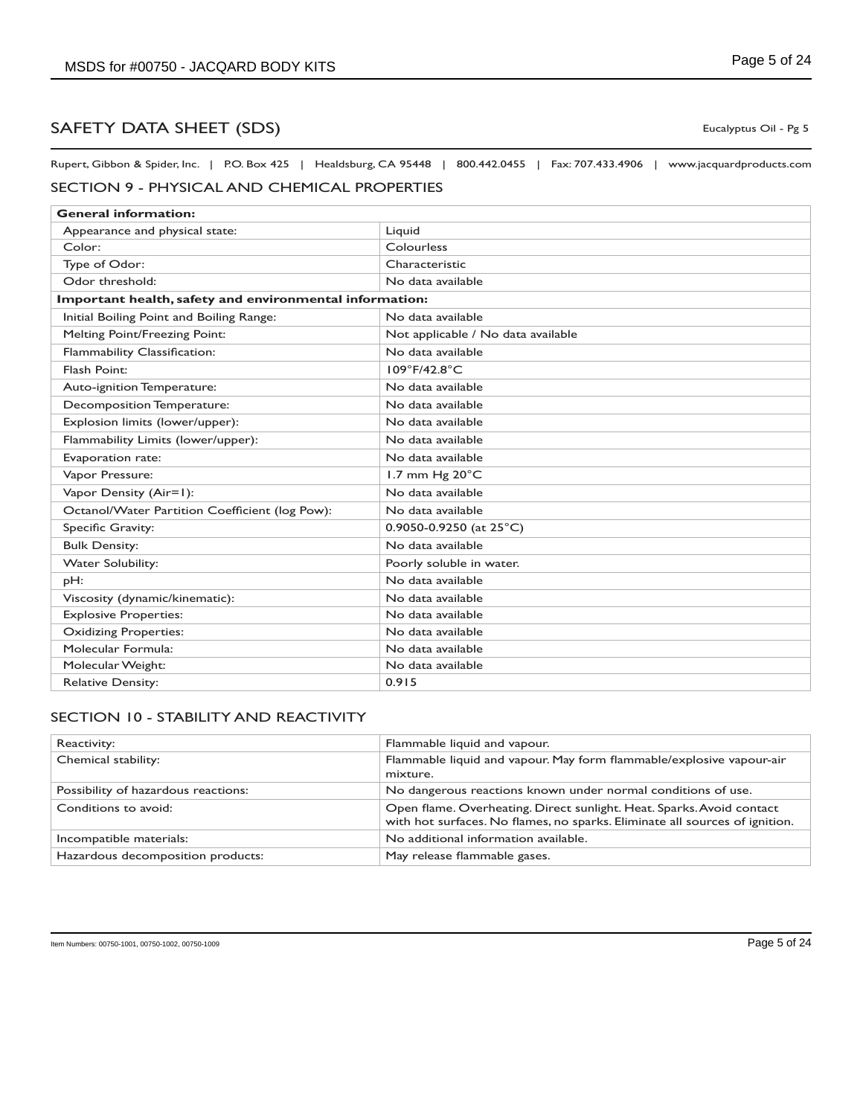Rupert, Gibbon & Spider, Inc. | P.O. Box 425 | Healdsburg, CA 95448 | 800.442.0455 | Fax: 707.433.4906 | www.jacquardproducts.com

## SECTION 9 - PHYSICAL AND CHEMICAL PROPERTIES

| <b>General information:</b>                             |                                    |  |
|---------------------------------------------------------|------------------------------------|--|
| Appearance and physical state:                          | Liquid                             |  |
| Color:                                                  | Colourless                         |  |
| Type of Odor:                                           | Characteristic                     |  |
| Odor threshold:                                         | No data available                  |  |
| Important health, safety and environmental information: |                                    |  |
| Initial Boiling Point and Boiling Range:                | No data available                  |  |
| <b>Melting Point/Freezing Point:</b>                    | Not applicable / No data available |  |
| Flammability Classification:                            | No data available                  |  |
| Flash Point:                                            | 109°F/42.8°C                       |  |
| Auto-ignition Temperature:                              | No data available                  |  |
| Decomposition Temperature:                              | No data available                  |  |
| Explosion limits (lower/upper):                         | No data available                  |  |
| Flammability Limits (lower/upper):                      | No data available                  |  |
| Evaporation rate:                                       | No data available                  |  |
| Vapor Pressure:                                         | 1.7 mm Hg 20°C                     |  |
| Vapor Density (Air=1):                                  | No data available                  |  |
| Octanol/Water Partition Coefficient (log Pow):          | No data available                  |  |
| Specific Gravity:                                       | 0.9050-0.9250 (at $25^{\circ}$ C)  |  |
| <b>Bulk Density:</b>                                    | No data available                  |  |
| <b>Water Solubility:</b>                                | Poorly soluble in water.           |  |
| pH:                                                     | No data available                  |  |
| Viscosity (dynamic/kinematic):                          | No data available                  |  |
| <b>Explosive Properties:</b>                            | No data available                  |  |
| <b>Oxidizing Properties:</b>                            | No data available                  |  |
| Molecular Formula:                                      | No data available                  |  |
| Molecular Weight:                                       | No data available                  |  |
| <b>Relative Density:</b>                                | 0.915                              |  |

## SECTION 10 - STABILITY AND REACTIVITY

| Reactivity:                         | Flammable liquid and vapour.                                                                                                                         |
|-------------------------------------|------------------------------------------------------------------------------------------------------------------------------------------------------|
| Chemical stability:                 | Flammable liquid and vapour. May form flammable/explosive vapour-air<br>mixture.                                                                     |
| Possibility of hazardous reactions: | No dangerous reactions known under normal conditions of use.                                                                                         |
| Conditions to avoid:                | Open flame. Overheating. Direct sunlight. Heat. Sparks. Avoid contact<br>with hot surfaces. No flames, no sparks. Eliminate all sources of ignition. |
| Incompatible materials:             | No additional information available.                                                                                                                 |
| Hazardous decomposition products:   | May release flammable gases.                                                                                                                         |

Eucalyptus Oil - Pg 5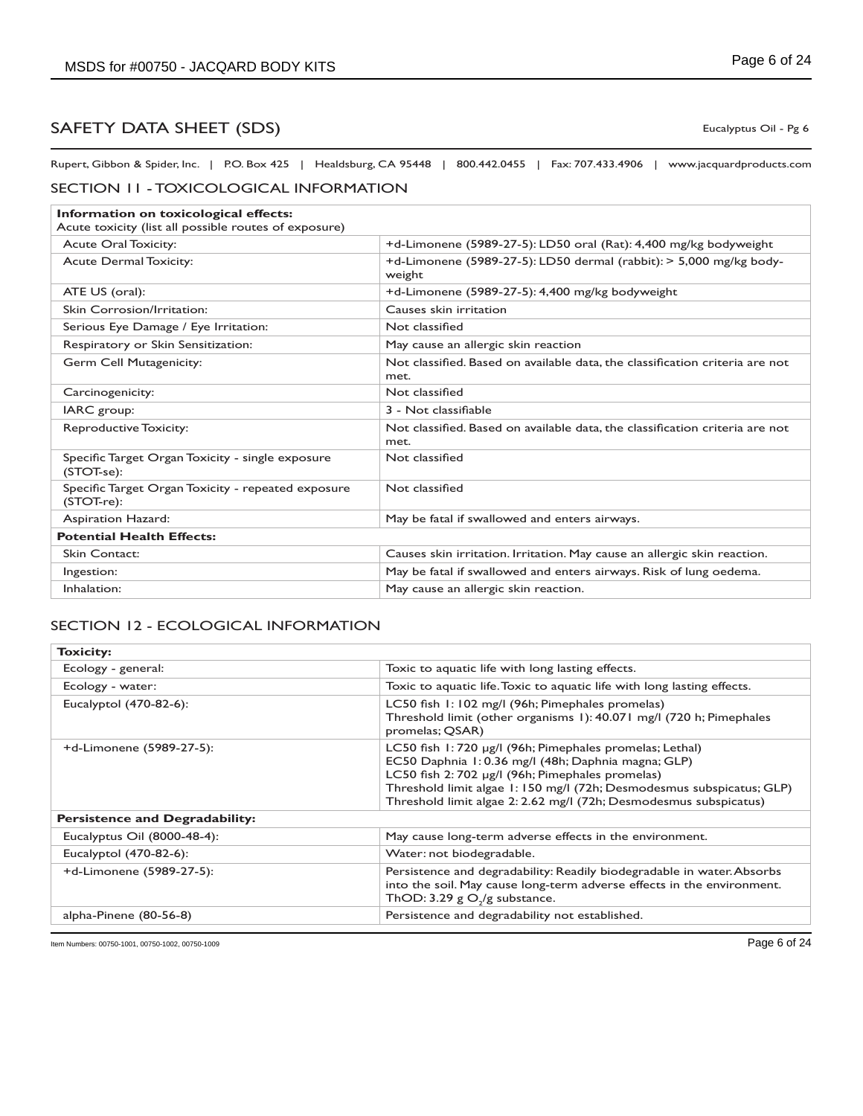Rupert, Gibbon & Spider, Inc. | P.O. Box 425 | Healdsburg, CA 95448 | 800.442.0455 | Fax: 707.433.4906 | www.jacquardproducts.com

### SECTION 11 - TOXICOLOGICAL INFORMATION

| Information on toxicological effects:<br>Acute toxicity (list all possible routes of exposure) |                                                                                      |  |
|------------------------------------------------------------------------------------------------|--------------------------------------------------------------------------------------|--|
| <b>Acute Oral Toxicity:</b>                                                                    | +d-Limonene (5989-27-5): LD50 oral (Rat): 4,400 mg/kg bodyweight                     |  |
| <b>Acute Dermal Toxicity:</b>                                                                  | +d-Limonene (5989-27-5): LD50 dermal (rabbit): $>$ 5,000 mg/kg body-<br>weight       |  |
| ATE US (oral):                                                                                 | +d-Limonene (5989-27-5): 4,400 mg/kg bodyweight                                      |  |
| Skin Corrosion/Irritation:                                                                     | Causes skin irritation                                                               |  |
| Serious Eye Damage / Eye Irritation:                                                           | Not classified                                                                       |  |
| Respiratory or Skin Sensitization:                                                             | May cause an allergic skin reaction                                                  |  |
| Germ Cell Mutagenicity:                                                                        | Not classified. Based on available data, the classification criteria are not<br>met. |  |
| Carcinogenicity:                                                                               | Not classified                                                                       |  |
| IARC group:                                                                                    | 3 - Not classifiable                                                                 |  |
| <b>Reproductive Toxicity:</b>                                                                  | Not classified. Based on available data, the classification criteria are not<br>met. |  |
| Specific Target Organ Toxicity - single exposure<br>(STOT-se):                                 | Not classified                                                                       |  |
| Specific Target Organ Toxicity - repeated exposure<br>(STOT-re):                               | Not classified                                                                       |  |
| Aspiration Hazard:                                                                             | May be fatal if swallowed and enters airways.                                        |  |
| <b>Potential Health Effects:</b>                                                               |                                                                                      |  |
| <b>Skin Contact:</b>                                                                           | Causes skin irritation. Irritation. May cause an allergic skin reaction.             |  |
| Ingestion:                                                                                     | May be fatal if swallowed and enters airways. Risk of lung oedema.                   |  |
| Inhalation:                                                                                    | May cause an allergic skin reaction.                                                 |  |

### SECTION 12 - ECOLOGICAL INFORMATION

| <b>Toxicity:</b>                      |                                                                                                                                                                                                                                                                                                                 |  |
|---------------------------------------|-----------------------------------------------------------------------------------------------------------------------------------------------------------------------------------------------------------------------------------------------------------------------------------------------------------------|--|
| Ecology - general:                    | Toxic to aquatic life with long lasting effects.                                                                                                                                                                                                                                                                |  |
| Ecology - water:                      | Toxic to aquatic life. Toxic to aquatic life with long lasting effects.                                                                                                                                                                                                                                         |  |
| Eucalyptol (470-82-6):                | LC50 fish 1:102 mg/l (96h; Pimephales promelas)<br>Threshold limit (other organisms 1): 40.071 mg/l (720 h; Pimephales<br>promelas; QSAR)                                                                                                                                                                       |  |
| +d-Limonene (5989-27-5):              | LC50 fish 1:720 µg/l (96h; Pimephales promelas; Lethal)<br>EC50 Daphnia 1:0.36 mg/l (48h; Daphnia magna; GLP)<br>LC50 fish 2: 702 µg/l (96h; Pimephales promelas)<br>Threshold limit algae 1: 150 mg/l (72h; Desmodesmus subspicatus; GLP)<br>Threshold limit algae 2: 2.62 mg/l (72h; Desmodesmus subspicatus) |  |
| <b>Persistence and Degradability:</b> |                                                                                                                                                                                                                                                                                                                 |  |
| Eucalyptus Oil (8000-48-4):           | May cause long-term adverse effects in the environment.                                                                                                                                                                                                                                                         |  |
| Eucalyptol $(470-82-6)$ :             | Water: not biodegradable.                                                                                                                                                                                                                                                                                       |  |
| +d-Limonene (5989-27-5):              | Persistence and degradability: Readily biodegradable in water. Absorbs<br>into the soil. May cause long-term adverse effects in the environment.<br>ThOD: 3.29 $g \Omega$ ,/g substance.                                                                                                                        |  |
| alpha-Pinene (80-56-8)                | Persistence and degradability not established.                                                                                                                                                                                                                                                                  |  |

Item Numbers: 00750-1001, 00750-1002, 00750-1009 Page 6 of 24

Eucalyptus Oil - Pg 6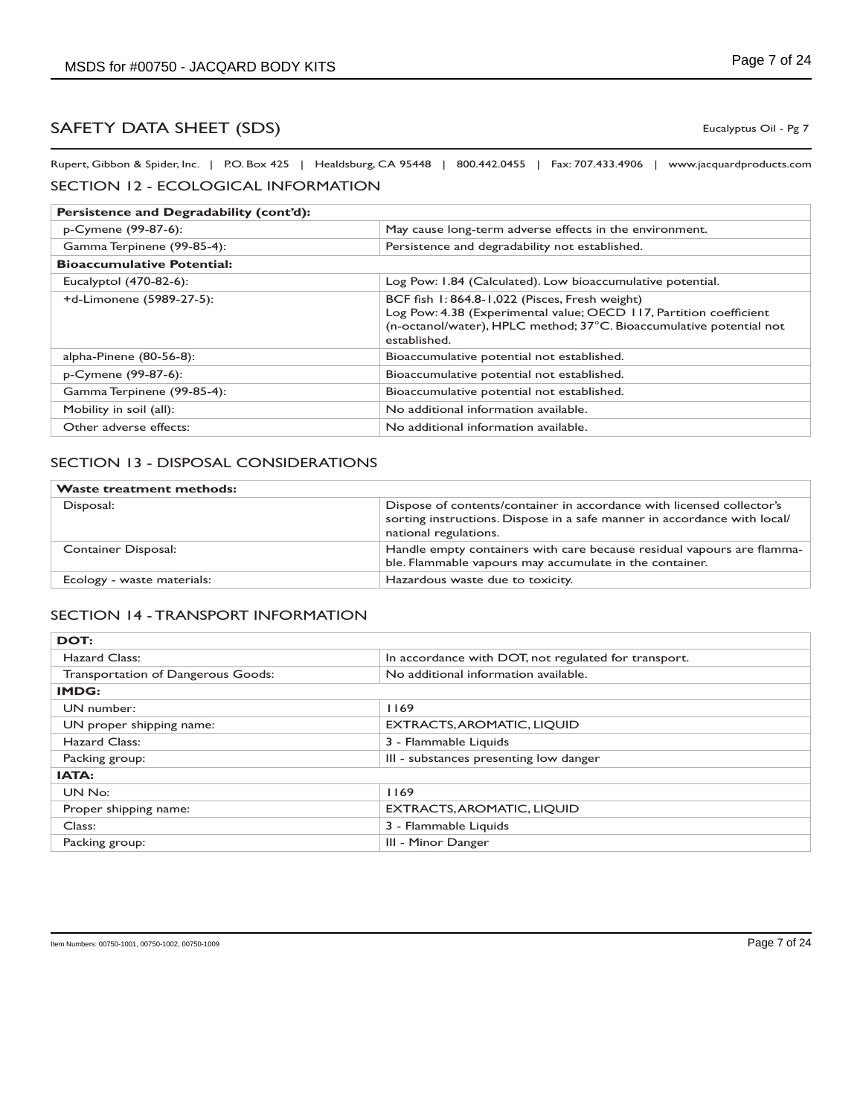Eucalyptus Oil - Pg 7

Rupert, Gibbon & Spider, Inc. | P.O. Box 425 | Healdsburg, CA 95448 | 800.442.0455 | Fax: 707.433.4906 | www.jacquardproducts.com SECTION 12 - ECOLOGICAL INFORMATION

| Persistence and Degradability (cont'd): |                                                                                                                                                                                                            |  |
|-----------------------------------------|------------------------------------------------------------------------------------------------------------------------------------------------------------------------------------------------------------|--|
| p-Cymene (99-87-6):                     | May cause long-term adverse effects in the environment.                                                                                                                                                    |  |
| Gamma Terpinene (99-85-4):              | Persistence and degradability not established.                                                                                                                                                             |  |
| <b>Bioaccumulative Potential:</b>       |                                                                                                                                                                                                            |  |
| Eucalyptol (470-82-6):                  | Log Pow: 1.84 (Calculated). Low bioaccumulative potential.                                                                                                                                                 |  |
| +d-Limonene (5989-27-5):                | BCF fish 1:864.8-1,022 (Pisces, Fresh weight)<br>Log Pow: 4.38 (Experimental value; OECD 117, Partition coefficient<br>(n-octanol/water), HPLC method; 37°C. Bioaccumulative potential not<br>established. |  |
| alpha-Pinene (80-56-8):                 | Bioaccumulative potential not established.                                                                                                                                                                 |  |
| p-Cymene (99-87-6):                     | Bioaccumulative potential not established.                                                                                                                                                                 |  |
| Gamma Terpinene (99-85-4):              | Bioaccumulative potential not established.                                                                                                                                                                 |  |
| Mobility in soil (all):                 | No additional information available.                                                                                                                                                                       |  |
| Other adverse effects:                  | No additional information available.                                                                                                                                                                       |  |

## SECTION 13 - DISPOSAL CONSIDERATIONS

| <b>Waste treatment methods:</b> |                                                                                                                                                                            |
|---------------------------------|----------------------------------------------------------------------------------------------------------------------------------------------------------------------------|
| Disposal:                       | Dispose of contents/container in accordance with licensed collector's<br>sorting instructions. Dispose in a safe manner in accordance with local/<br>national regulations. |
| Container Disposal:             | Handle empty containers with care because residual vapours are flamma-<br>ble. Flammable vapours may accumulate in the container.                                          |
| Ecology - waste materials:      | Hazardous waste due to toxicity.                                                                                                                                           |

### SECTION 14 - TRANSPORT INFORMATION

| DOT:                               |                                                      |  |
|------------------------------------|------------------------------------------------------|--|
| Hazard Class:                      | In accordance with DOT, not regulated for transport. |  |
| Transportation of Dangerous Goods: | No additional information available.                 |  |
| IMDG:                              |                                                      |  |
| UN number:                         | 1169                                                 |  |
| UN proper shipping name:           | <b>EXTRACTS, AROMATIC, LIQUID</b>                    |  |
| Hazard Class:                      | 3 - Flammable Liquids                                |  |
| Packing group:                     | III - substances presenting low danger               |  |
| IATA:                              |                                                      |  |
| UN No:                             | 1169                                                 |  |
| Proper shipping name:              | <b>EXTRACTS, AROMATIC, LIQUID</b>                    |  |
| Class:                             | 3 - Flammable Liquids                                |  |
| Packing group:                     | III - Minor Danger                                   |  |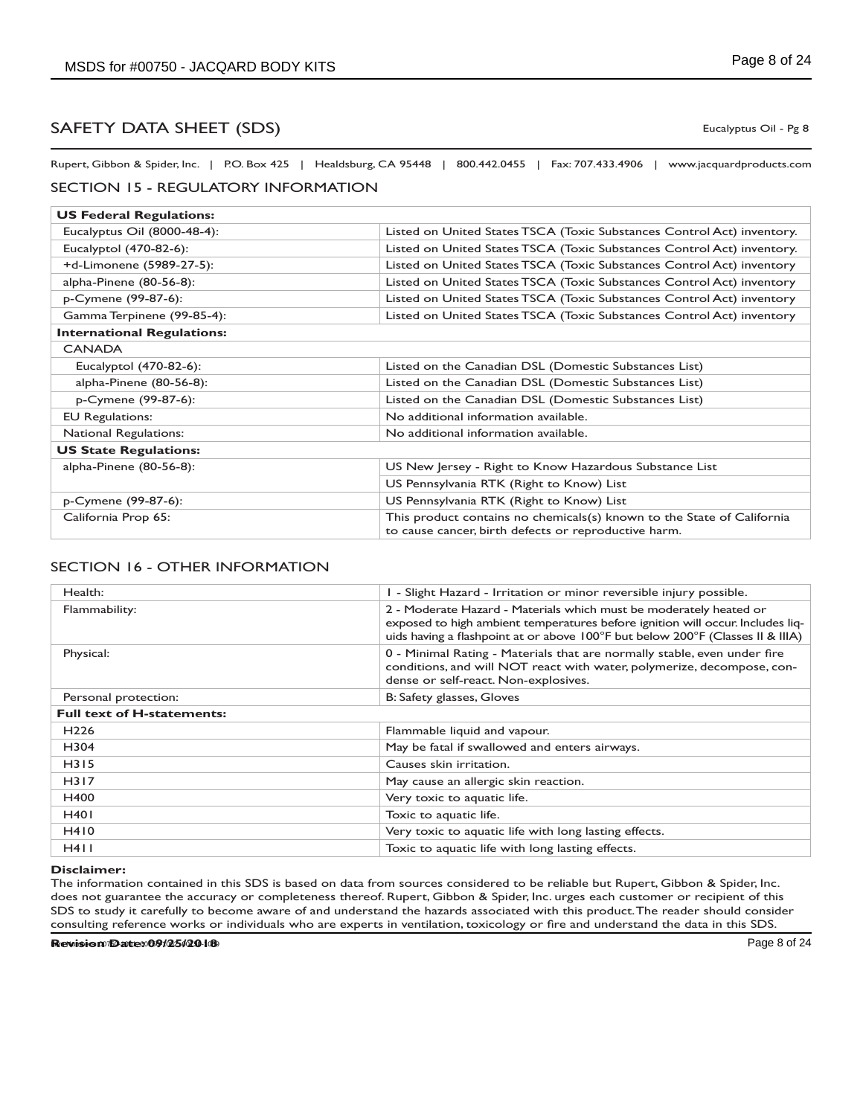Eucalyptus Oil - Pg 8

Rupert, Gibbon & Spider, Inc. | P.O. Box 425 | Healdsburg, CA 95448 | 800.442.0455 | Fax: 707.433.4906 | www.jacquardproducts.com

### SECTION 15 - REGULATORY INFORMATION

| <b>US Federal Regulations:</b>    |                                                                                                                                |  |
|-----------------------------------|--------------------------------------------------------------------------------------------------------------------------------|--|
| Eucalyptus Oil (8000-48-4):       | Listed on United States TSCA (Toxic Substances Control Act) inventory.                                                         |  |
| Eucalyptol (470-82-6):            | Listed on United States TSCA (Toxic Substances Control Act) inventory.                                                         |  |
| +d-Limonene (5989-27-5):          | Listed on United States TSCA (Toxic Substances Control Act) inventory                                                          |  |
| alpha-Pinene (80-56-8):           | Listed on United States TSCA (Toxic Substances Control Act) inventory                                                          |  |
| p-Cymene (99-87-6):               | Listed on United States TSCA (Toxic Substances Control Act) inventory                                                          |  |
| Gamma Terpinene (99-85-4):        | Listed on United States TSCA (Toxic Substances Control Act) inventory                                                          |  |
| <b>International Regulations:</b> |                                                                                                                                |  |
| <b>CANADA</b>                     |                                                                                                                                |  |
| Eucalyptol (470-82-6):            | Listed on the Canadian DSL (Domestic Substances List)                                                                          |  |
| alpha-Pinene (80-56-8):           | Listed on the Canadian DSL (Domestic Substances List)                                                                          |  |
| p-Cymene (99-87-6):               | Listed on the Canadian DSL (Domestic Substances List)                                                                          |  |
| <b>EU Regulations:</b>            | No additional information available.                                                                                           |  |
| <b>National Regulations:</b>      | No additional information available.                                                                                           |  |
| <b>US State Regulations:</b>      |                                                                                                                                |  |
| alpha-Pinene (80-56-8):           | US New Jersey - Right to Know Hazardous Substance List                                                                         |  |
|                                   | US Pennsylvania RTK (Right to Know) List                                                                                       |  |
| p-Cymene (99-87-6):               | US Pennsylvania RTK (Right to Know) List                                                                                       |  |
| California Prop 65:               | This product contains no chemicals(s) known to the State of California<br>to cause cancer, birth defects or reproductive harm. |  |

## SECTION 16 - OTHER INFORMATION

| Health:                           | I - Slight Hazard - Irritation or minor reversible injury possible.                                                                                                                                                                    |
|-----------------------------------|----------------------------------------------------------------------------------------------------------------------------------------------------------------------------------------------------------------------------------------|
| Flammability:                     | 2 - Moderate Hazard - Materials which must be moderately heated or<br>exposed to high ambient temperatures before ignition will occur. Includes liq-<br>uids having a flashpoint at or above 100°F but below 200°F (Classes II & IIIA) |
| Physical:                         | 0 - Minimal Rating - Materials that are normally stable, even under fire<br>conditions, and will NOT react with water, polymerize, decompose, con-<br>dense or self-react. Non-explosives.                                             |
| Personal protection:              | B: Safety glasses, Gloves                                                                                                                                                                                                              |
| <b>Full text of H-statements:</b> |                                                                                                                                                                                                                                        |
| H <sub>226</sub>                  | Flammable liquid and vapour.                                                                                                                                                                                                           |
| H304                              | May be fatal if swallowed and enters airways.                                                                                                                                                                                          |
| H315                              | Causes skin irritation.                                                                                                                                                                                                                |
| H317                              | May cause an allergic skin reaction.                                                                                                                                                                                                   |
| H400                              | Very toxic to aquatic life.                                                                                                                                                                                                            |
| <b>H401</b>                       | Toxic to aquatic life.                                                                                                                                                                                                                 |
| H410                              | Very toxic to aquatic life with long lasting effects.                                                                                                                                                                                  |
| H411                              | Toxic to aquatic life with long lasting effects.                                                                                                                                                                                       |

#### **Disclaimer:**

The information contained in this SDS is based on data from sources considered to be reliable but Rupert, Gibbon & Spider, Inc. does not guarantee the accuracy or completeness thereof. Rupert, Gibbon & Spider, Inc. urges each customer or recipient of this SDS to study it carefully to become aware of and understand the hazards associated with this product. The reader should consider consulting reference works or individuals who are experts in ventilation, toxicology or fire and understand the data in this SDS.

**Revision Date: 09/25/2018**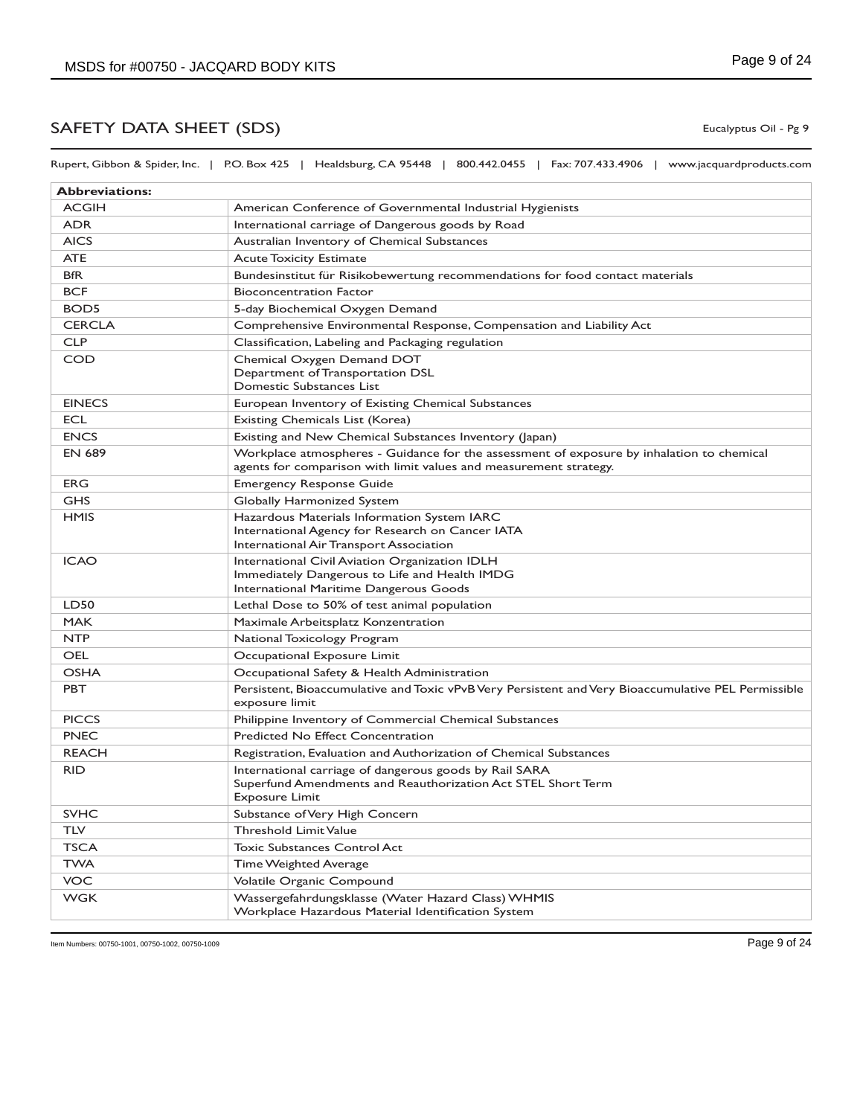Rupert, Gibbon & Spider, Inc. | P.O. Box 425 | Healdsburg, CA 95448 | 800.442.0455 | Fax: 707.433.4906 | www.jacquardproducts.com

| <b>Abbreviations:</b> |                                                                                                                                                                |
|-----------------------|----------------------------------------------------------------------------------------------------------------------------------------------------------------|
| <b>ACGIH</b>          | American Conference of Governmental Industrial Hygienists                                                                                                      |
| <b>ADR</b>            | International carriage of Dangerous goods by Road                                                                                                              |
| <b>AICS</b>           | Australian Inventory of Chemical Substances                                                                                                                    |
| <b>ATE</b>            | <b>Acute Toxicity Estimate</b>                                                                                                                                 |
| <b>BfR</b>            | Bundesinstitut für Risikobewertung recommendations for food contact materials                                                                                  |
| <b>BCF</b>            | <b>Bioconcentration Factor</b>                                                                                                                                 |
| BOD <sub>5</sub>      | 5-day Biochemical Oxygen Demand                                                                                                                                |
| <b>CERCLA</b>         | Comprehensive Environmental Response, Compensation and Liability Act                                                                                           |
| <b>CLP</b>            | Classification, Labeling and Packaging regulation                                                                                                              |
| COD                   | Chemical Oxygen Demand DOT<br>Department of Transportation DSL<br>Domestic Substances List                                                                     |
| <b>EINECS</b>         | European Inventory of Existing Chemical Substances                                                                                                             |
| <b>ECL</b>            | Existing Chemicals List (Korea)                                                                                                                                |
| <b>ENCS</b>           | Existing and New Chemical Substances Inventory (Japan)                                                                                                         |
| <b>EN 689</b>         | Workplace atmospheres - Guidance for the assessment of exposure by inhalation to chemical<br>agents for comparison with limit values and measurement strategy. |
| <b>ERG</b>            | <b>Emergency Response Guide</b>                                                                                                                                |
| <b>GHS</b>            | Globally Harmonized System                                                                                                                                     |
| <b>HMIS</b>           | Hazardous Materials Information System IARC<br>International Agency for Research on Cancer IATA<br>International Air Transport Association                     |
| <b>ICAO</b>           | International Civil Aviation Organization IDLH<br>Immediately Dangerous to Life and Health IMDG<br>International Maritime Dangerous Goods                      |
| LD50                  | Lethal Dose to 50% of test animal population                                                                                                                   |
| <b>MAK</b>            | Maximale Arbeitsplatz Konzentration                                                                                                                            |
| <b>NTP</b>            | National Toxicology Program                                                                                                                                    |
| <b>OEL</b>            | Occupational Exposure Limit                                                                                                                                    |
| <b>OSHA</b>           | Occupational Safety & Health Administration                                                                                                                    |
| <b>PBT</b>            | Persistent, Bioaccumulative and Toxic vPvB Very Persistent and Very Bioaccumulative PEL Permissible<br>exposure limit                                          |
| <b>PICCS</b>          | Philippine Inventory of Commercial Chemical Substances                                                                                                         |
| <b>PNEC</b>           | <b>Predicted No Effect Concentration</b>                                                                                                                       |
| <b>REACH</b>          | Registration, Evaluation and Authorization of Chemical Substances                                                                                              |
| <b>RID</b>            | International carriage of dangerous goods by Rail SARA<br>Superfund Amendments and Reauthorization Act STEL Short Term<br><b>Exposure Limit</b>                |
| <b>SVHC</b>           | Substance of Very High Concern                                                                                                                                 |
| <b>TLV</b>            | <b>Threshold Limit Value</b>                                                                                                                                   |
| <b>TSCA</b>           | <b>Toxic Substances Control Act</b>                                                                                                                            |
| <b>TWA</b>            | Time Weighted Average                                                                                                                                          |
| <b>VOC</b>            | Volatile Organic Compound                                                                                                                                      |
| <b>WGK</b>            | Wassergefahrdungsklasse (Water Hazard Class) WHMIS<br>Workplace Hazardous Material Identification System                                                       |

Eucalyptus Oil - Pg 9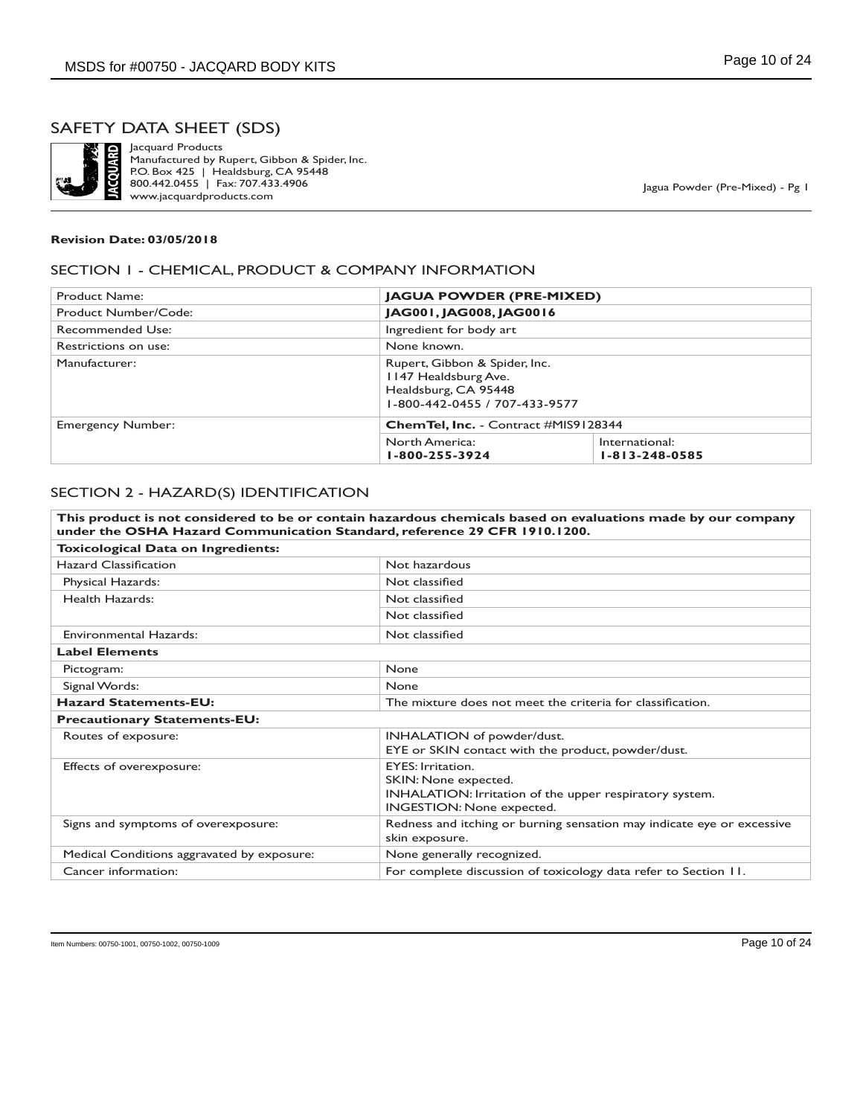

Jacquard Products Manufactured by Rupert, Gibbon & Spider, Inc. P.O. Box 425 | Healdsburg, CA 95448 800.442.0455 | Fax: 707.433.4906 www.jacquardproducts.com

Jagua Powder (Pre-Mixed) - Pg 1

#### **Revision Date: 03/05/2018**

#### SECTION 1 - CHEMICAL, PRODUCT & COMPANY INFORMATION

| Product Name:                                                           | <b>JAGUA POWDER (PRE-MIXED)</b>                                                                                |                                          |
|-------------------------------------------------------------------------|----------------------------------------------------------------------------------------------------------------|------------------------------------------|
| Product Number/Code:                                                    | JAG001, JAG008, JAG0016                                                                                        |                                          |
| Recommended Use:                                                        | Ingredient for body art                                                                                        |                                          |
| Restrictions on use:                                                    | None known.                                                                                                    |                                          |
| Manufacturer:                                                           | Rupert, Gibbon & Spider, Inc.<br>1147 Healdsburg Ave.<br>Healdsburg, CA 95448<br>1-800-442-0455 / 707-433-9577 |                                          |
| <b>Emergency Number:</b><br><b>ChemTel, Inc.</b> - Contract #MIS9128344 |                                                                                                                |                                          |
|                                                                         | North America:<br>1-800-255-3924                                                                               | International:<br>$1 - 813 - 248 - 0585$ |

### SECTION 2 - HAZARD(S) IDENTIFICATION

| under the OSHA Hazard Communication Standard, reference 29 CFR 1910.1200. | This product is not considered to be or contain hazardous chemicals based on evaluations made by our company                             |  |
|---------------------------------------------------------------------------|------------------------------------------------------------------------------------------------------------------------------------------|--|
| Toxicological Data on Ingredients:                                        |                                                                                                                                          |  |
| <b>Hazard Classification</b>                                              | Not hazardous                                                                                                                            |  |
| Physical Hazards:                                                         | Not classified                                                                                                                           |  |
| Health Hazards:                                                           | Not classified                                                                                                                           |  |
|                                                                           | Not classified                                                                                                                           |  |
| <b>Environmental Hazards:</b>                                             | Not classified                                                                                                                           |  |
| <b>Label Elements</b>                                                     |                                                                                                                                          |  |
| Pictogram:                                                                | None                                                                                                                                     |  |
| Signal Words:                                                             | None                                                                                                                                     |  |
| <b>Hazard Statements-EU:</b>                                              | The mixture does not meet the criteria for classification.                                                                               |  |
| <b>Precautionary Statements-EU:</b>                                       |                                                                                                                                          |  |
| Routes of exposure:                                                       | INHALATION of powder/dust.<br>EYE or SKIN contact with the product, powder/dust.                                                         |  |
| Effects of overexposure:                                                  | <b>EYES: Irritation.</b><br>SKIN: None expected.<br>INHALATION: Irritation of the upper respiratory system.<br>INGESTION: None expected. |  |
| Signs and symptoms of overexposure:                                       | Redness and itching or burning sensation may indicate eye or excessive<br>skin exposure.                                                 |  |
| Medical Conditions aggravated by exposure:                                | None generally recognized.                                                                                                               |  |
| Cancer information:                                                       | For complete discussion of toxicology data refer to Section 11.                                                                          |  |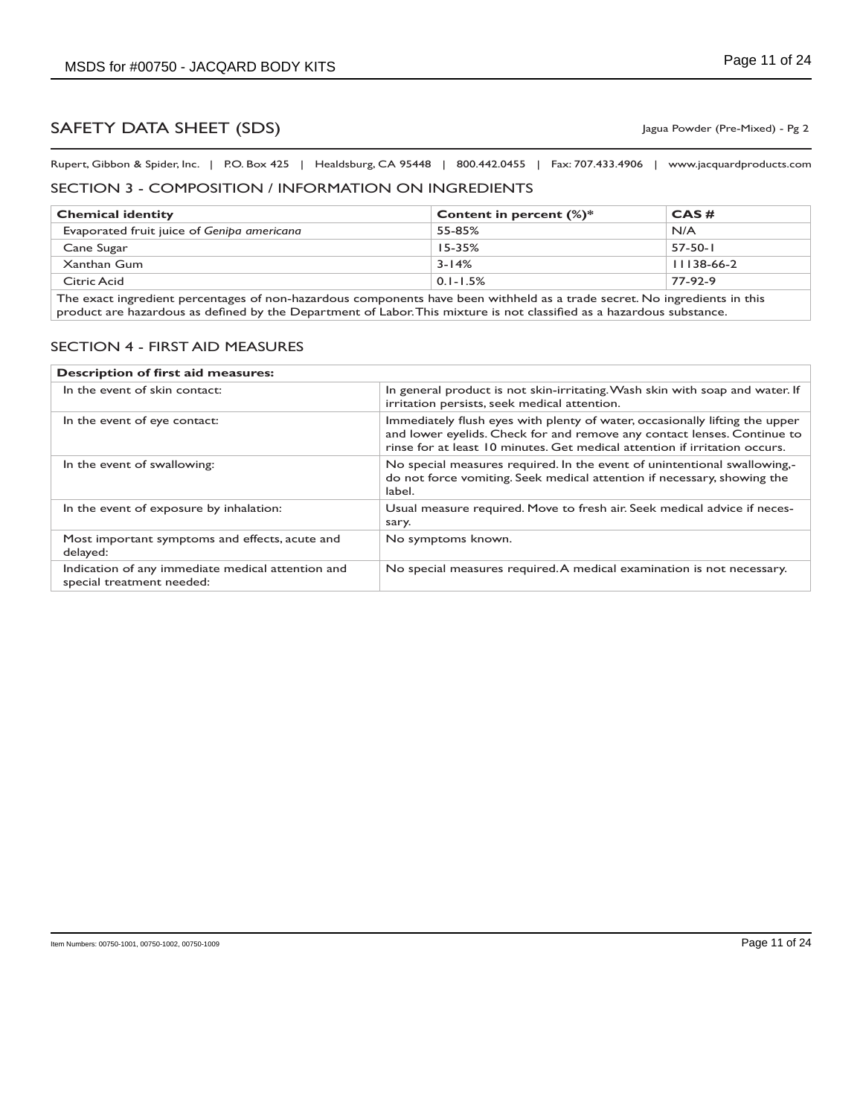Rupert, Gibbon & Spider, Inc. | P.O. Box 425 | Healdsburg, CA 95448 | 800.442.0455 | Fax: 707.433.4906 | www.jacquardproducts.com

### SECTION 3 - COMPOSITION / INFORMATION ON INGREDIENTS

| <b>Chemical identity</b>                                                                                                  | Content in percent $(\%)^*$ | CAS#         |
|---------------------------------------------------------------------------------------------------------------------------|-----------------------------|--------------|
| Evaporated fruit juice of Genipa americana                                                                                | 55-85%                      | N/A          |
| Cane Sugar                                                                                                                | $15 - 35%$                  | $57-50-1$    |
| Xanthan Gum                                                                                                               | $3 - 14%$                   | $11138-66-2$ |
| Citric Acid                                                                                                               | $0.1 - 1.5%$                | 77-92-9      |
| The exact ingredient percentages of non-hazardous components have been withheld as a trade secret. No ingredients in this |                             |              |

igredient percentages of non-hazardous components have been withheld as a trade secret. No ingredients in this product are hazardous as defined by the Department of Labor. This mixture is not classified as a hazardous substance.

#### SECTION 4 - FIRST AID MEASURES

| Description of first aid measures:                                             |                                                                                                                                                                                                                                      |  |
|--------------------------------------------------------------------------------|--------------------------------------------------------------------------------------------------------------------------------------------------------------------------------------------------------------------------------------|--|
| In the event of skin contact:                                                  | In general product is not skin-irritating. Wash skin with soap and water. If<br>irritation persists, seek medical attention.                                                                                                         |  |
| In the event of eye contact:                                                   | Immediately flush eyes with plenty of water, occasionally lifting the upper<br>and lower eyelids. Check for and remove any contact lenses. Continue to<br>rinse for at least 10 minutes. Get medical attention if irritation occurs. |  |
| In the event of swallowing:                                                    | No special measures required. In the event of unintentional swallowing,-<br>do not force vomiting. Seek medical attention if necessary, showing the<br>label.                                                                        |  |
| In the event of exposure by inhalation:                                        | Usual measure required. Move to fresh air. Seek medical advice if neces-<br>sary.                                                                                                                                                    |  |
| Most important symptoms and effects, acute and<br>delayed:                     | No symptoms known.                                                                                                                                                                                                                   |  |
| Indication of any immediate medical attention and<br>special treatment needed: | No special measures required. A medical examination is not necessary.                                                                                                                                                                |  |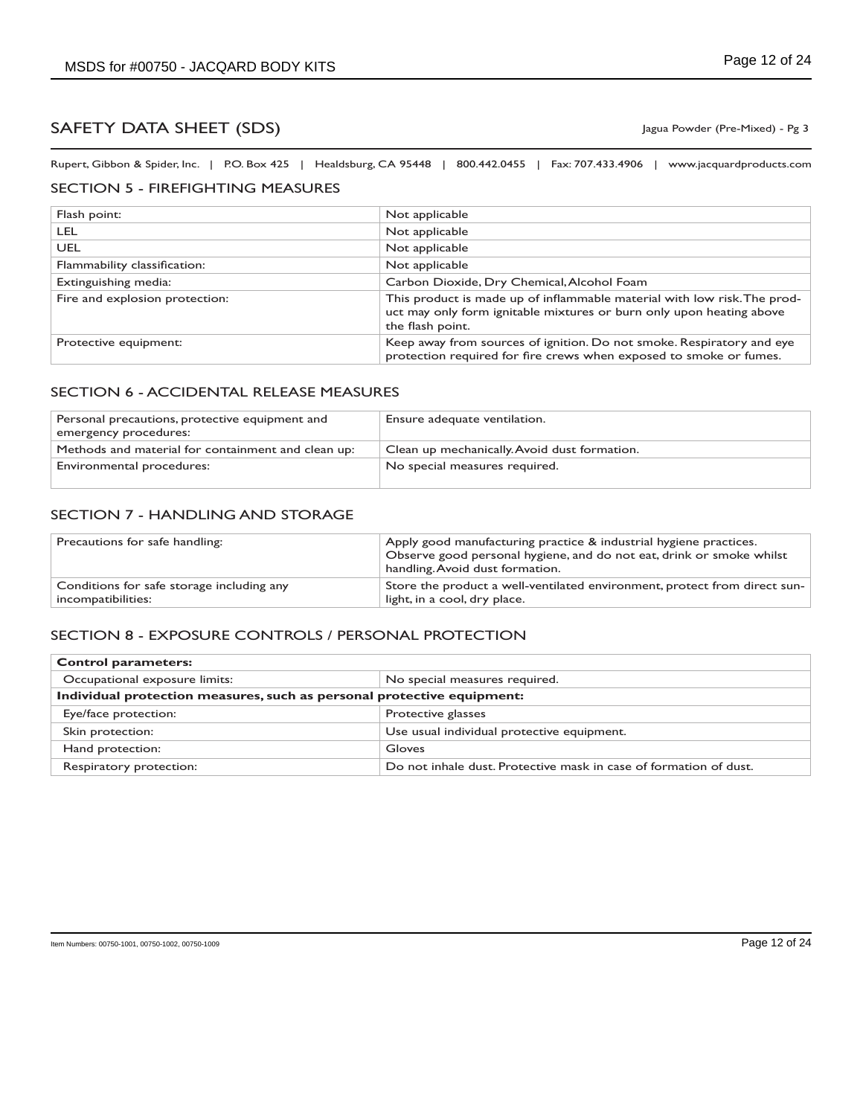Rupert, Gibbon & Spider, Inc. | P.O. Box 425 | Healdsburg, CA 95448 | 800.442.0455 | Fax: 707.433.4906 | www.jacquardproducts.com

## SECTION 5 - FIREFIGHTING MEASURES

| Flash point:                   | Not applicable                                                                                                                                                       |
|--------------------------------|----------------------------------------------------------------------------------------------------------------------------------------------------------------------|
| LEL.                           | Not applicable                                                                                                                                                       |
| UEL                            | Not applicable                                                                                                                                                       |
| Flammability classification:   | Not applicable                                                                                                                                                       |
| Extinguishing media:           | Carbon Dioxide, Dry Chemical, Alcohol Foam                                                                                                                           |
| Fire and explosion protection: | This product is made up of inflammable material with low risk. The prod-<br>uct may only form ignitable mixtures or burn only upon heating above<br>the flash point. |
| Protective equipment:          | Keep away from sources of ignition. Do not smoke. Respiratory and eye<br>protection required for fire crews when exposed to smoke or fumes.                          |

## SECTION 6 - ACCIDENTAL RELEASE MEASURES

| Personal precautions, protective equipment and<br>emergency procedures: | Ensure adequate ventilation.                 |
|-------------------------------------------------------------------------|----------------------------------------------|
| Methods and material for containment and clean up:                      | Clean up mechanically. Avoid dust formation. |
| Environmental procedures:                                               | No special measures required.                |

## SECTION 7 - HANDLING AND STORAGE

| Precautions for safe handling:            | Apply good manufacturing practice & industrial hygiene practices.<br>Observe good personal hygiene, and do not eat, drink or smoke whilst<br>handling. Avoid dust formation. |
|-------------------------------------------|------------------------------------------------------------------------------------------------------------------------------------------------------------------------------|
| Conditions for safe storage including any | Store the product a well-ventilated environment, protect from direct sun-                                                                                                    |
| incompatibilities:                        | light, in a cool, dry place.                                                                                                                                                 |

### SECTION 8 - EXPOSURE CONTROLS / PERSONAL PROTECTION

| <b>Control parameters:</b>                                             |                                                                   |  |
|------------------------------------------------------------------------|-------------------------------------------------------------------|--|
| Occupational exposure limits:                                          | No special measures required.                                     |  |
| Individual protection measures, such as personal protective equipment: |                                                                   |  |
| Eye/face protection:                                                   | Protective glasses                                                |  |
| Skin protection:                                                       | Use usual individual protective equipment.                        |  |
| Hand protection:                                                       | Gloves                                                            |  |
| Respiratory protection:                                                | Do not inhale dust. Protective mask in case of formation of dust. |  |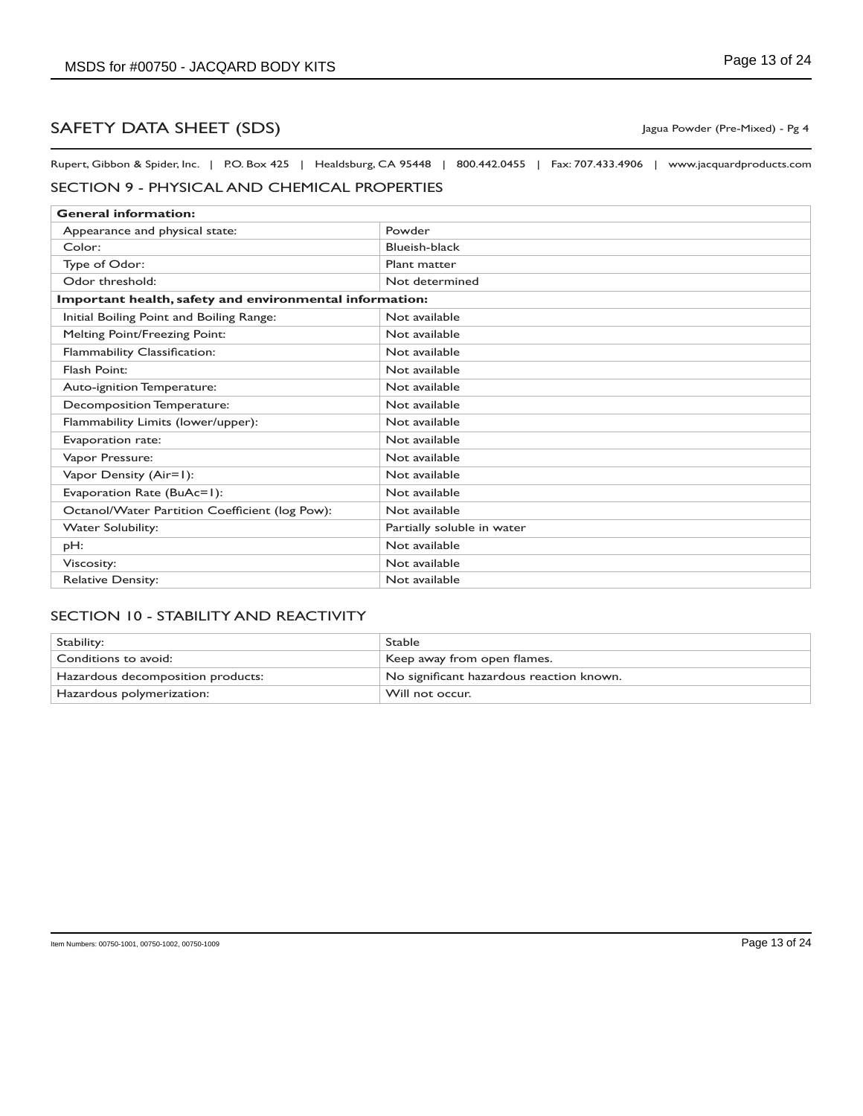Rupert, Gibbon & Spider, Inc. | P.O. Box 425 | Healdsburg, CA 95448 | 800.442.0455 | Fax: 707.433.4906 | www.jacquardproducts.com

## SECTION 9 - PHYSICAL AND CHEMICAL PROPERTIES

| <b>General information:</b>                             |                            |  |
|---------------------------------------------------------|----------------------------|--|
| Appearance and physical state:                          | Powder                     |  |
| Color:                                                  | Blueish-black              |  |
| Type of Odor:                                           | Plant matter               |  |
| Odor threshold:                                         | Not determined             |  |
| Important health, safety and environmental information: |                            |  |
| Initial Boiling Point and Boiling Range:                | Not available              |  |
| <b>Melting Point/Freezing Point:</b>                    | Not available              |  |
| Flammability Classification:                            | Not available              |  |
| Flash Point:                                            | Not available              |  |
| Auto-ignition Temperature:                              | Not available              |  |
| Decomposition Temperature:                              | Not available              |  |
| Flammability Limits (lower/upper):                      | Not available              |  |
| Evaporation rate:                                       | Not available              |  |
| Vapor Pressure:                                         | Not available              |  |
| Vapor Density (Air=1):                                  | Not available              |  |
| Evaporation Rate (BuAc=1):                              | Not available              |  |
| Octanol/Water Partition Coefficient (log Pow):          | Not available              |  |
| <b>Water Solubility:</b>                                | Partially soluble in water |  |
| pH:                                                     | Not available              |  |
| Viscosity:                                              | Not available              |  |
| <b>Relative Density:</b>                                | Not available              |  |

## SECTION 10 - STABILITY AND REACTIVITY

| Stability:                        | <b>Stable</b>                            |
|-----------------------------------|------------------------------------------|
| Conditions to avoid:              | Keep away from open flames.              |
| Hazardous decomposition products: | No significant hazardous reaction known. |
| Hazardous polymerization:         | Will not occur.                          |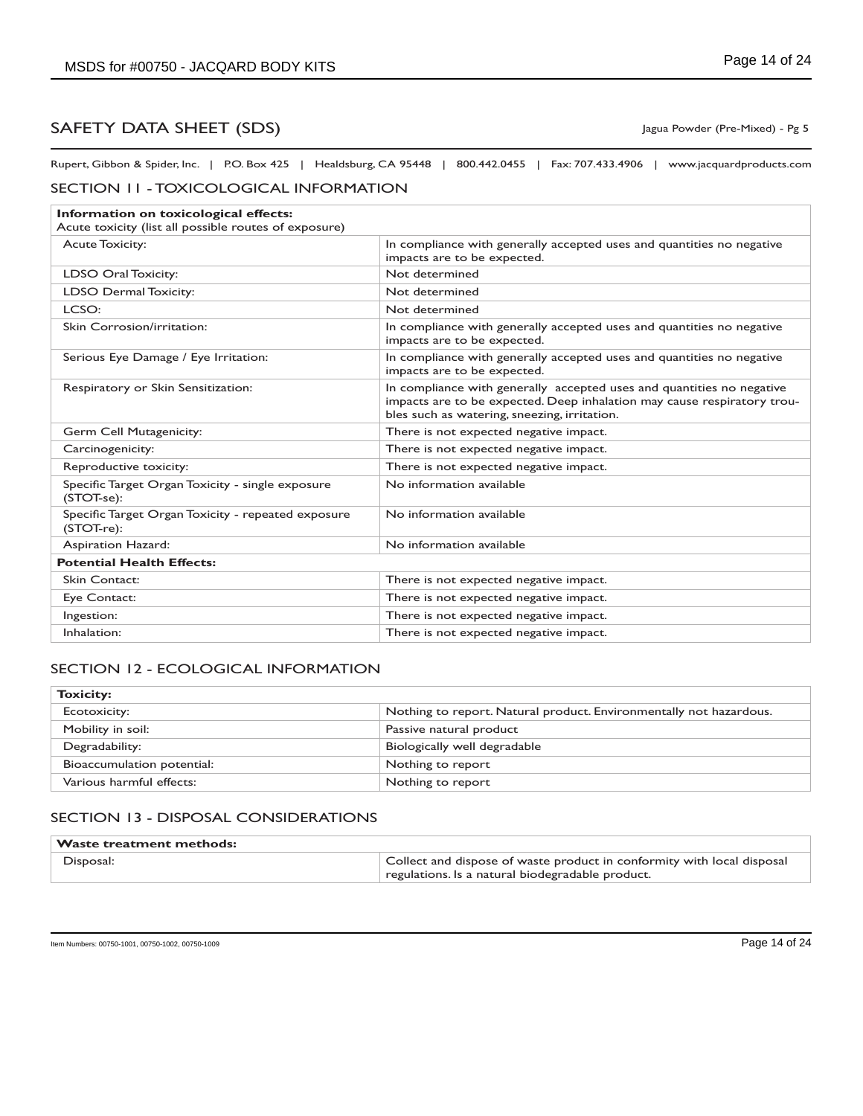## SAFETY DATA SHEET (SDS) SAFETY USING THE USING THE USING THE USING THE USING THE USING THE USING THE USING THE USING THE USING THE USING THE USING THE USING THE USING THE USING THE USING THE USING THE USING THE USING THE U

Rupert, Gibbon & Spider, Inc. | P.O. Box 425 | Healdsburg, CA 95448 | 800.442.0455 | Fax: 707.433.4906 | www.jacquardproducts.com

#### SECTION 11 - TOXICOLOGICAL INFORMATION

| Information on toxicological effects:<br>Acute toxicity (list all possible routes of exposure) |                                                                                                                                                                                                  |  |
|------------------------------------------------------------------------------------------------|--------------------------------------------------------------------------------------------------------------------------------------------------------------------------------------------------|--|
| <b>Acute Toxicity:</b>                                                                         | In compliance with generally accepted uses and quantities no negative<br>impacts are to be expected.                                                                                             |  |
| <b>LDSO Oral Toxicity:</b>                                                                     | Not determined                                                                                                                                                                                   |  |
| LDSO Dermal Toxicity:                                                                          | Not determined                                                                                                                                                                                   |  |
| LCSO:                                                                                          | Not determined                                                                                                                                                                                   |  |
| Skin Corrosion/irritation:                                                                     | In compliance with generally accepted uses and quantities no negative<br>impacts are to be expected.                                                                                             |  |
| Serious Eye Damage / Eye Irritation:                                                           | In compliance with generally accepted uses and quantities no negative<br>impacts are to be expected.                                                                                             |  |
| Respiratory or Skin Sensitization:                                                             | In compliance with generally accepted uses and quantities no negative<br>impacts are to be expected. Deep inhalation may cause respiratory trou-<br>bles such as watering, sneezing, irritation. |  |
| Germ Cell Mutagenicity:                                                                        | There is not expected negative impact.                                                                                                                                                           |  |
| Carcinogenicity:                                                                               | There is not expected negative impact.                                                                                                                                                           |  |
| Reproductive toxicity:                                                                         | There is not expected negative impact.                                                                                                                                                           |  |
| Specific Target Organ Toxicity - single exposure<br>(STOT-se):                                 | No information available                                                                                                                                                                         |  |
| Specific Target Organ Toxicity - repeated exposure<br>(STOT-re):                               | No information available                                                                                                                                                                         |  |
| Aspiration Hazard:                                                                             | No information available                                                                                                                                                                         |  |
| <b>Potential Health Effects:</b>                                                               |                                                                                                                                                                                                  |  |
| Skin Contact:                                                                                  | There is not expected negative impact.                                                                                                                                                           |  |
| Eye Contact:                                                                                   | There is not expected negative impact.                                                                                                                                                           |  |
| Ingestion:                                                                                     | There is not expected negative impact.                                                                                                                                                           |  |
| Inhalation:                                                                                    | There is not expected negative impact.                                                                                                                                                           |  |

## SECTION 12 - ECOLOGICAL INFORMATION

| <b>Toxicity:</b>           |                                                                    |
|----------------------------|--------------------------------------------------------------------|
| Ecotoxicity:               | Nothing to report. Natural product. Environmentally not hazardous. |
| Mobility in soil:          | Passive natural product                                            |
| Degradability:             | Biologically well degradable                                       |
| Bioaccumulation potential: | Nothing to report                                                  |
| Various harmful effects:   | Nothing to report                                                  |

### SECTION 13 - DISPOSAL CONSIDERATIONS

| $^\shortparallel$ Waste treatment methods: |                                                                                                                            |
|--------------------------------------------|----------------------------------------------------------------------------------------------------------------------------|
| Disposal:                                  | Collect and dispose of waste product in conformity with local disposal<br>regulations. Is a natural biodegradable product. |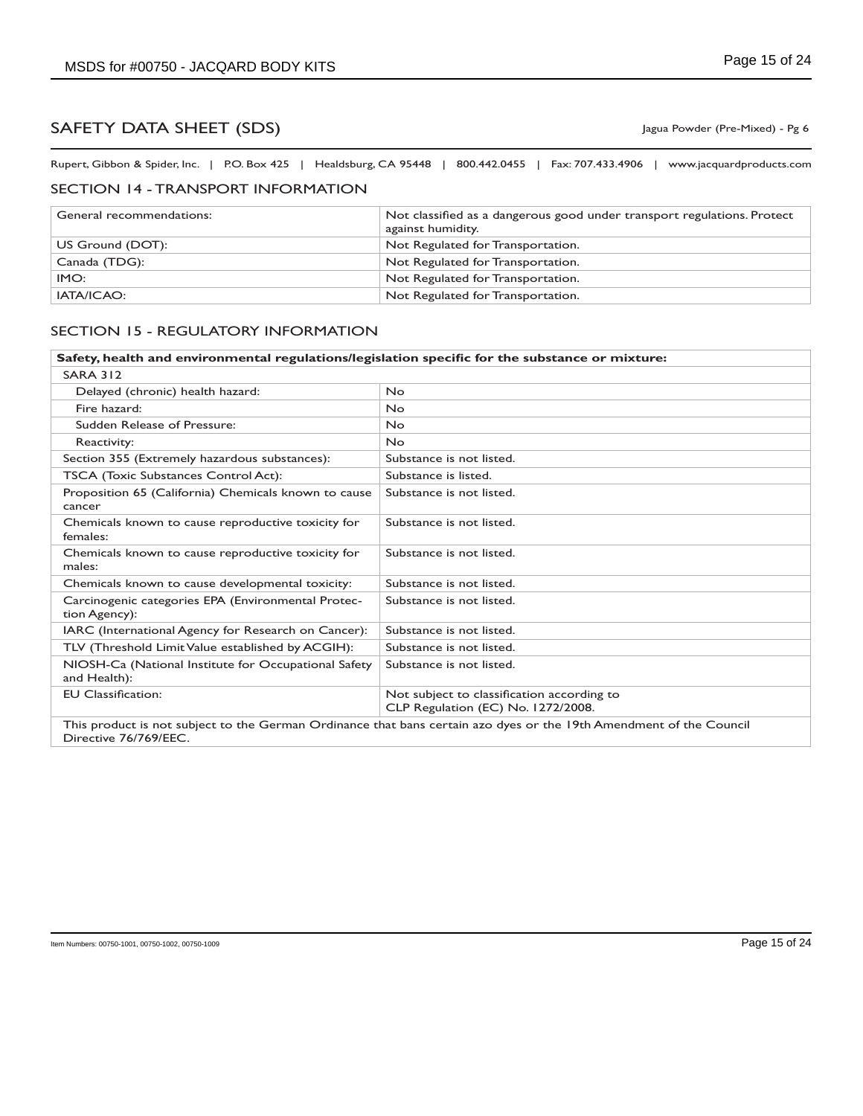Rupert, Gibbon & Spider, Inc. | P.O. Box 425 | Healdsburg, CA 95448 | 800.442.0455 | Fax: 707.433.4906 | www.jacquardproducts.com

## SECTION 14 - TRANSPORT INFORMATION

| General recommendations: | Not classified as a dangerous good under transport regulations. Protect<br>against humidity. |
|--------------------------|----------------------------------------------------------------------------------------------|
| US Ground (DOT):         | Not Regulated for Transportation.                                                            |
| Canada (TDG):            | Not Regulated for Transportation.                                                            |
| IMO:                     | Not Regulated for Transportation.                                                            |
| IATA/ICAO:               | Not Regulated for Transportation.                                                            |

#### SECTION 15 - REGULATORY INFORMATION

| Safety, health and environmental regulations/legislation specific for the substance or mixture:                                              |                                                                                  |
|----------------------------------------------------------------------------------------------------------------------------------------------|----------------------------------------------------------------------------------|
| <b>SARA 312</b>                                                                                                                              |                                                                                  |
| Delayed (chronic) health hazard:                                                                                                             | <b>No</b>                                                                        |
| Fire hazard:                                                                                                                                 | <b>No</b>                                                                        |
| Sudden Release of Pressure:                                                                                                                  | <b>No</b>                                                                        |
| Reactivity:                                                                                                                                  | <b>No</b>                                                                        |
| Section 355 (Extremely hazardous substances):                                                                                                | Substance is not listed.                                                         |
| TSCA (Toxic Substances Control Act):                                                                                                         | Substance is listed.                                                             |
| Proposition 65 (California) Chemicals known to cause<br>cancer                                                                               | Substance is not listed.                                                         |
| Chemicals known to cause reproductive toxicity for<br>females:                                                                               | Substance is not listed.                                                         |
| Chemicals known to cause reproductive toxicity for<br>males:                                                                                 | Substance is not listed.                                                         |
| Chemicals known to cause developmental toxicity:                                                                                             | Substance is not listed.                                                         |
| Carcinogenic categories EPA (Environmental Protec-<br>tion Agency):                                                                          | Substance is not listed.                                                         |
| IARC (International Agency for Research on Cancer):                                                                                          | Substance is not listed.                                                         |
| TLV (Threshold Limit Value established by ACGIH):                                                                                            | Substance is not listed.                                                         |
| NIOSH-Ca (National Institute for Occupational Safety<br>and Health):                                                                         | Substance is not listed.                                                         |
| <b>EU Classification:</b>                                                                                                                    | Not subject to classification according to<br>CLP Regulation (EC) No. 1272/2008. |
| This product is not subject to the German Ordinance that bans certain azo dyes or the 19th Amendment of the Council<br>Directive 76/769/EEC. |                                                                                  |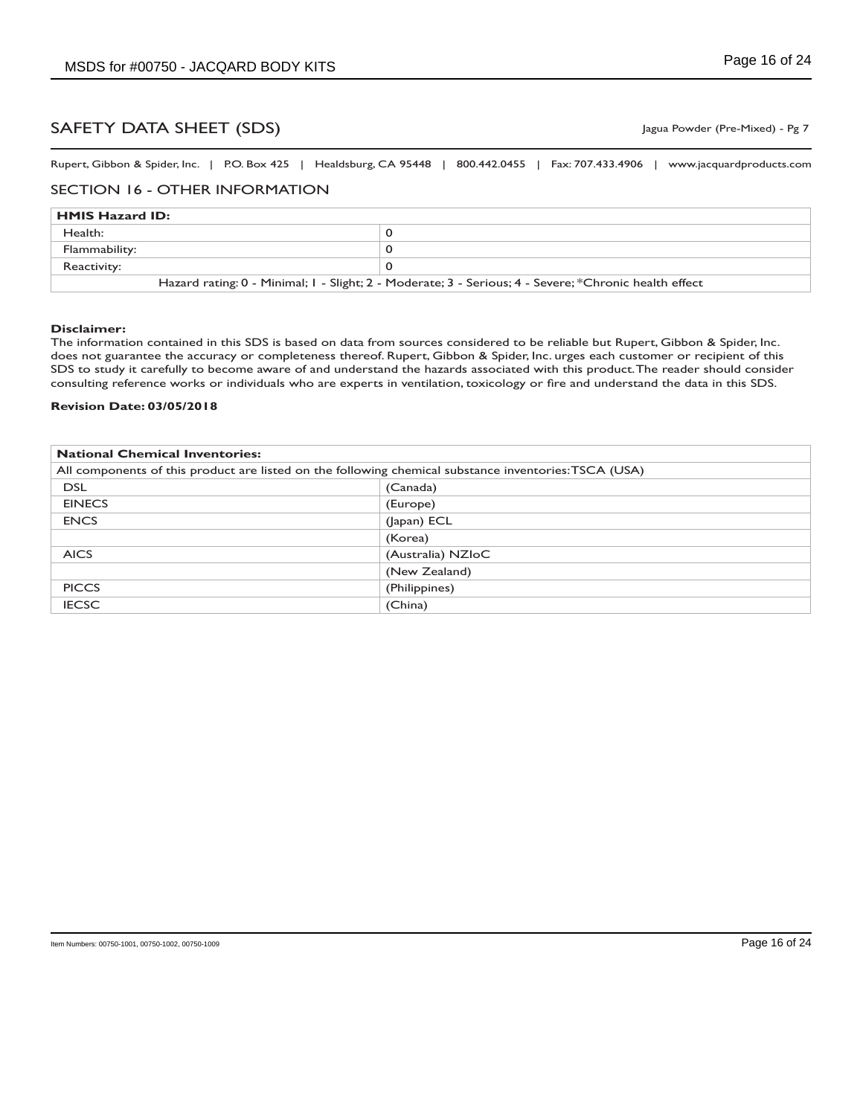Rupert, Gibbon & Spider, Inc. | P.O. Box 425 | Healdsburg, CA 95448 | 800.442.0455 | Fax: 707.433.4906 | www.jacquardproducts.com

#### SECTION 16 - OTHER INFORMATION

| <b>HMIS Hazard ID:</b>                                                                                |  |
|-------------------------------------------------------------------------------------------------------|--|
| Health:                                                                                               |  |
| Flammability:                                                                                         |  |
| Reactivity:                                                                                           |  |
| Hazard rating: 0 - Minimal; 1 - Slight; 2 - Moderate; 3 - Serious; 4 - Severe; *Chronic health effect |  |

#### **Disclaimer:**

The information contained in this SDS is based on data from sources considered to be reliable but Rupert, Gibbon & Spider, Inc. does not guarantee the accuracy or completeness thereof. Rupert, Gibbon & Spider, Inc. urges each customer or recipient of this SDS to study it carefully to become aware of and understand the hazards associated with this product. The reader should consider consulting reference works or individuals who are experts in ventilation, toxicology or fire and understand the data in this SDS.

#### **Revision Date: 03/05/2018**

| <b>National Chemical Inventories:</b>                                                                 |                   |
|-------------------------------------------------------------------------------------------------------|-------------------|
| All components of this product are listed on the following chemical substance inventories: TSCA (USA) |                   |
| <b>DSL</b>                                                                                            | (Canada)          |
| <b>EINECS</b>                                                                                         | (Europe)          |
| <b>ENCS</b>                                                                                           | (Japan) ECL       |
|                                                                                                       | (Korea)           |
| <b>AICS</b>                                                                                           | (Australia) NZIoC |
|                                                                                                       | (New Zealand)     |
| <b>PICCS</b>                                                                                          | (Philippines)     |
| <b>IECSC</b>                                                                                          | (China)           |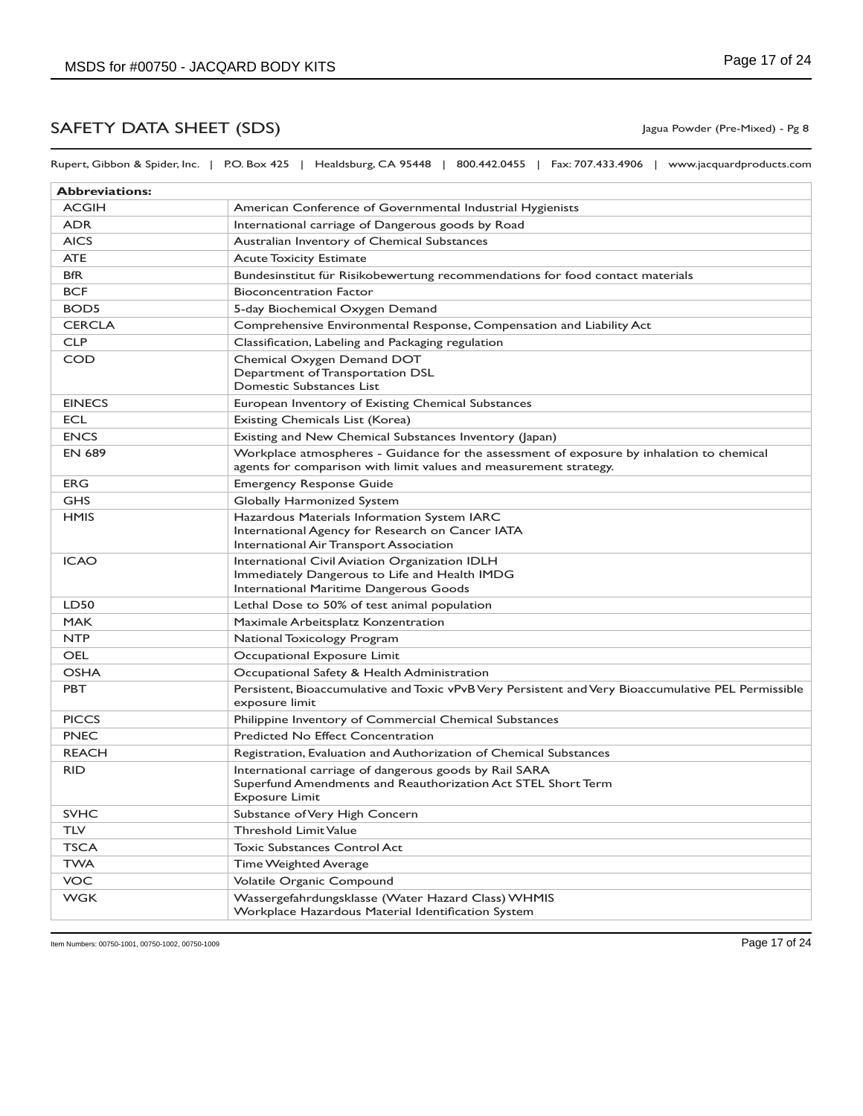Rupert, Gibbon & Spider, Inc. | P.O. Box 425 | Healdsburg, CA 95448 | 800.442.0455 | Fax: 707.433.4906 | www.jacquardproducts.com

| <b>Abbreviations:</b> |                                                                                                                                                                |
|-----------------------|----------------------------------------------------------------------------------------------------------------------------------------------------------------|
| <b>ACGIH</b>          | American Conference of Governmental Industrial Hygienists                                                                                                      |
| <b>ADR</b>            | International carriage of Dangerous goods by Road                                                                                                              |
| <b>AICS</b>           | Australian Inventory of Chemical Substances                                                                                                                    |
| <b>ATE</b>            | <b>Acute Toxicity Estimate</b>                                                                                                                                 |
| <b>BfR</b>            | Bundesinstitut für Risikobewertung recommendations for food contact materials                                                                                  |
| <b>BCF</b>            | <b>Bioconcentration Factor</b>                                                                                                                                 |
| BOD <sub>5</sub>      | 5-day Biochemical Oxygen Demand                                                                                                                                |
| <b>CERCLA</b>         | Comprehensive Environmental Response, Compensation and Liability Act                                                                                           |
| <b>CLP</b>            | Classification, Labeling and Packaging regulation                                                                                                              |
| <b>COD</b>            | Chemical Oxygen Demand DOT<br>Department of Transportation DSL<br>Domestic Substances List                                                                     |
| <b>EINECS</b>         | European Inventory of Existing Chemical Substances                                                                                                             |
| <b>ECL</b>            | Existing Chemicals List (Korea)                                                                                                                                |
| <b>ENCS</b>           | Existing and New Chemical Substances Inventory (Japan)                                                                                                         |
| <b>EN 689</b>         | Workplace atmospheres - Guidance for the assessment of exposure by inhalation to chemical<br>agents for comparison with limit values and measurement strategy. |
| ERG                   | <b>Emergency Response Guide</b>                                                                                                                                |
| <b>GHS</b>            | Globally Harmonized System                                                                                                                                     |
| <b>HMIS</b>           | Hazardous Materials Information System IARC<br>International Agency for Research on Cancer IATA<br>International Air Transport Association                     |
| <b>ICAO</b>           | International Civil Aviation Organization IDLH<br>Immediately Dangerous to Life and Health IMDG<br>International Maritime Dangerous Goods                      |
| <b>LD50</b>           | Lethal Dose to 50% of test animal population                                                                                                                   |
| <b>MAK</b>            | Maximale Arbeitsplatz Konzentration                                                                                                                            |
| <b>NTP</b>            | National Toxicology Program                                                                                                                                    |
| <b>OEL</b>            | Occupational Exposure Limit                                                                                                                                    |
| <b>OSHA</b>           | Occupational Safety & Health Administration                                                                                                                    |
| <b>PBT</b>            | Persistent, Bioaccumulative and Toxic vPvB Very Persistent and Very Bioaccumulative PEL Permissible<br>exposure limit                                          |
| <b>PICCS</b>          | Philippine Inventory of Commercial Chemical Substances                                                                                                         |
| <b>PNEC</b>           | Predicted No Effect Concentration                                                                                                                              |
| <b>REACH</b>          | Registration, Evaluation and Authorization of Chemical Substances                                                                                              |
| <b>RID</b>            | International carriage of dangerous goods by Rail SARA<br>Superfund Amendments and Reauthorization Act STEL Short Term<br><b>Exposure Limit</b>                |
| <b>SVHC</b>           | Substance of Very High Concern                                                                                                                                 |
| <b>TLV</b>            | <b>Threshold Limit Value</b>                                                                                                                                   |
| <b>TSCA</b>           | <b>Toxic Substances Control Act</b>                                                                                                                            |
| <b>TWA</b>            | Time Weighted Average                                                                                                                                          |
| <b>VOC</b>            | Volatile Organic Compound                                                                                                                                      |
| <b>WGK</b>            | Wassergefahrdungsklasse (Water Hazard Class) WHMIS<br>Workplace Hazardous Material Identification System                                                       |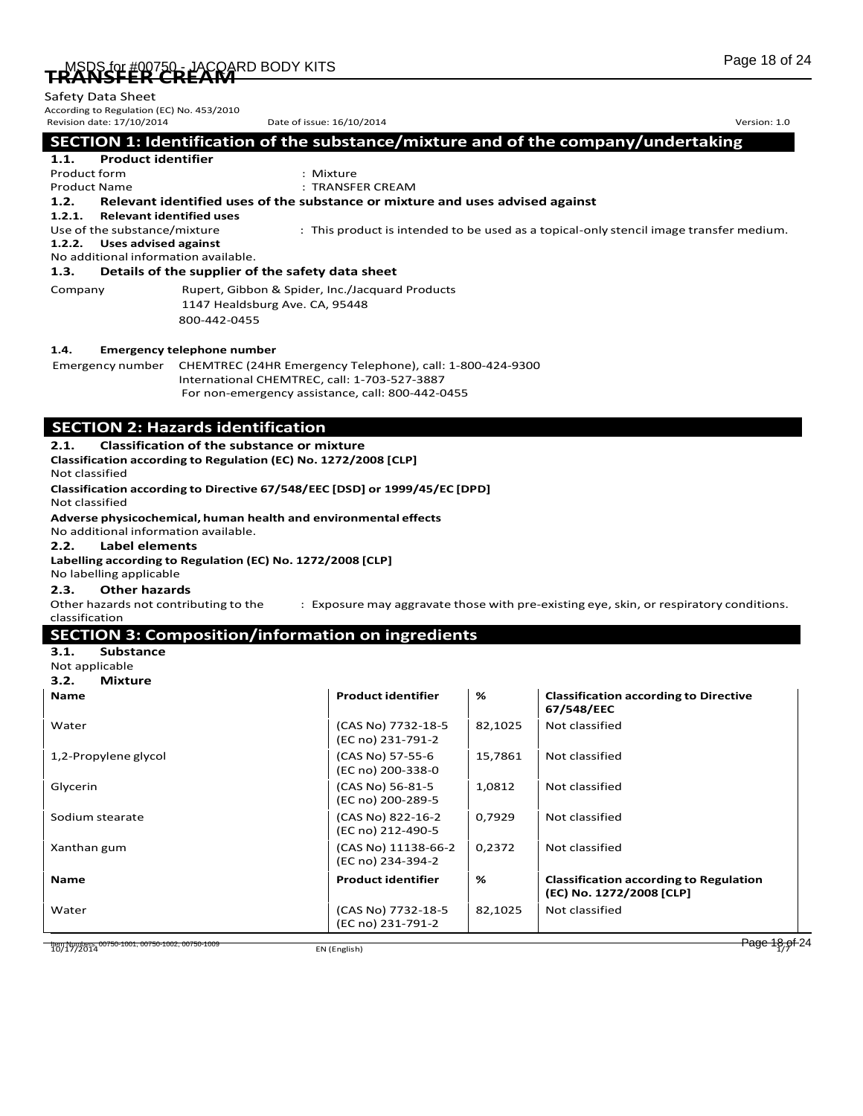| TB MSRS for #00750 - JACQARD BODY KITS | Page 18 of 24 |
|----------------------------------------|---------------|
| <b>ENAIVELEN CIVEAIXE</b>              |               |

| Safety Data Sheet |  |  |
|-------------------|--|--|

| Safety Data Sheet<br>According to Regulation (EC) No. 453/2010                                                                                                                                                                                                                                           |                                                                                                                                                                                                                                                       |                                                                                                                                        |         |                                                                                        |
|----------------------------------------------------------------------------------------------------------------------------------------------------------------------------------------------------------------------------------------------------------------------------------------------------------|-------------------------------------------------------------------------------------------------------------------------------------------------------------------------------------------------------------------------------------------------------|----------------------------------------------------------------------------------------------------------------------------------------|---------|----------------------------------------------------------------------------------------|
| Revision date: 17/10/2014                                                                                                                                                                                                                                                                                |                                                                                                                                                                                                                                                       | Date of issue: 16/10/2014                                                                                                              |         | Version: 1.0                                                                           |
| <b>Product identifier</b><br>1.1.                                                                                                                                                                                                                                                                        |                                                                                                                                                                                                                                                       |                                                                                                                                        |         | SECTION 1: Identification of the substance/mixture and of the company/undertaking      |
| Product form                                                                                                                                                                                                                                                                                             |                                                                                                                                                                                                                                                       | : Mixture                                                                                                                              |         |                                                                                        |
| <b>Product Name</b>                                                                                                                                                                                                                                                                                      |                                                                                                                                                                                                                                                       | : TRANSFER CREAM                                                                                                                       |         |                                                                                        |
| 1.2.<br>1.2.1.<br><b>Relevant identified uses</b>                                                                                                                                                                                                                                                        |                                                                                                                                                                                                                                                       | Relevant identified uses of the substance or mixture and uses advised against                                                          |         |                                                                                        |
| Use of the substance/mixture<br><b>Uses advised against</b><br>1.2.2.<br>No additional information available.                                                                                                                                                                                            |                                                                                                                                                                                                                                                       |                                                                                                                                        |         | : This product is intended to be used as a topical-only stencil image transfer medium. |
| 1.3.                                                                                                                                                                                                                                                                                                     | Details of the supplier of the safety data sheet                                                                                                                                                                                                      |                                                                                                                                        |         |                                                                                        |
| Company                                                                                                                                                                                                                                                                                                  | 1147 Healdsburg Ave. CA, 95448<br>800-442-0455                                                                                                                                                                                                        | Rupert, Gibbon & Spider, Inc./Jacquard Products                                                                                        |         |                                                                                        |
| 1.4.                                                                                                                                                                                                                                                                                                     | <b>Emergency telephone number</b>                                                                                                                                                                                                                     |                                                                                                                                        |         |                                                                                        |
|                                                                                                                                                                                                                                                                                                          | International CHEMTREC, call: 1-703-527-3887                                                                                                                                                                                                          | Emergency number CHEMTREC (24HR Emergency Telephone), call: 1-800-424-9300<br>For non-emergency assistance, call: 800-442-0455         |         |                                                                                        |
| 2.1.<br>Not classified<br>Not classified<br>No additional information available.<br>2.2.<br>Label elements<br>No labelling applicable<br>2.3.<br><b>Other hazards</b><br>Other hazards not contributing to the<br>classification<br>3.1.<br><b>Substance</b><br>Not applicable<br>3.2.<br><b>Mixture</b> | <b>Classification of the substance or mixture</b><br>Classification according to Regulation (EC) No. 1272/2008 [CLP]<br>Adverse physicochemical, human health and environmental effects<br>Labelling according to Regulation (EC) No. 1272/2008 [CLP] | Classification according to Directive 67/548/EEC [DSD] or 1999/45/EC [DPD]<br><b>SECTION 3: Composition/information on ingredients</b> |         | : Exposure may aggravate those with pre-existing eye, skin, or respiratory conditions. |
| Name                                                                                                                                                                                                                                                                                                     |                                                                                                                                                                                                                                                       | <b>Product identifier</b>                                                                                                              | %       | <b>Classification according to Directive</b><br>67/548/EEC                             |
| Water                                                                                                                                                                                                                                                                                                    |                                                                                                                                                                                                                                                       | (CAS No) 7732-18-5<br>(EC no) 231-791-2                                                                                                | 82,1025 | Not classified                                                                         |
| 1,2-Propylene glycol                                                                                                                                                                                                                                                                                     |                                                                                                                                                                                                                                                       | (CAS No) 57-55-6<br>(EC no) 200-338-0                                                                                                  | 15,7861 | Not classified                                                                         |
| Glycerin                                                                                                                                                                                                                                                                                                 |                                                                                                                                                                                                                                                       | (CAS No) 56-81-5<br>(EC no) 200-289-5                                                                                                  | 1,0812  | Not classified                                                                         |
| Sodium stearate                                                                                                                                                                                                                                                                                          |                                                                                                                                                                                                                                                       | (CAS No) 822-16-2<br>(EC no) 212-490-5                                                                                                 | 0,7929  | Not classified                                                                         |
| Xanthan gum                                                                                                                                                                                                                                                                                              |                                                                                                                                                                                                                                                       | (CAS No) 11138-66-2<br>(EC no) 234-394-2                                                                                               | 0,2372  | Not classified                                                                         |
| Name                                                                                                                                                                                                                                                                                                     |                                                                                                                                                                                                                                                       | <b>Product identifier</b>                                                                                                              | %       | <b>Classification according to Regulation</b><br>(EC) No. 1272/2008 [CLP]              |
| Water                                                                                                                                                                                                                                                                                                    |                                                                                                                                                                                                                                                       | (CAS No) 7732-18-5                                                                                                                     | 82,1025 | Not classified                                                                         |

(EC no) 231-791-2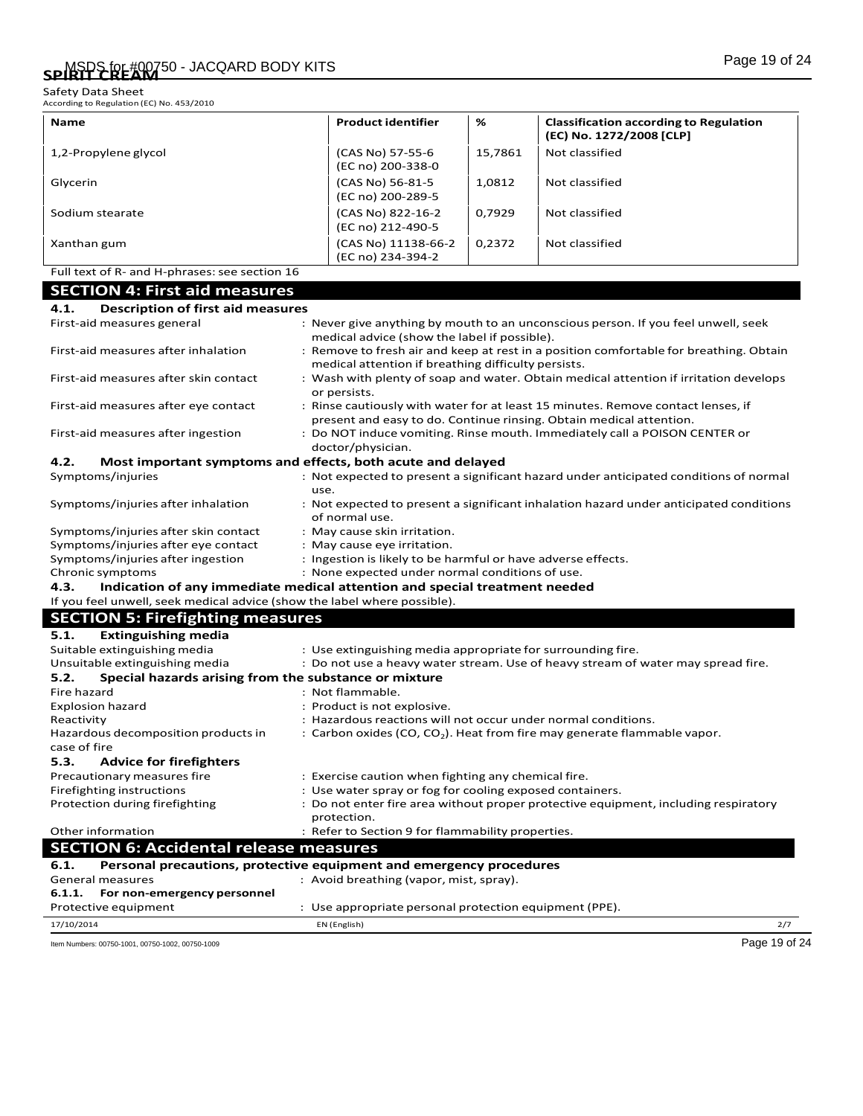Safety Data Sheet<br>According to Regulation (EC) No. 453/2010

| Name                                                                               | <b>Product identifier</b>                                     | %       | <b>Classification according to Regulation</b>                                                                                                           |
|------------------------------------------------------------------------------------|---------------------------------------------------------------|---------|---------------------------------------------------------------------------------------------------------------------------------------------------------|
|                                                                                    |                                                               |         | (EC) No. 1272/2008 [CLP]                                                                                                                                |
| 1,2-Propylene glycol                                                               | (CAS No) 57-55-6<br>(EC no) 200-338-0                         | 15,7861 | Not classified                                                                                                                                          |
| Glycerin                                                                           | (CAS No) 56-81-5<br>(EC no) 200-289-5                         | 1,0812  | Not classified                                                                                                                                          |
| Sodium stearate                                                                    | (CAS No) 822-16-2<br>(EC no) 212-490-5                        | 0,7929  | Not classified                                                                                                                                          |
| Xanthan gum                                                                        | (CAS No) 11138-66-2<br>(EC no) 234-394-2                      | 0,2372  | Not classified                                                                                                                                          |
| Full text of R- and H-phrases: see section 16                                      |                                                               |         |                                                                                                                                                         |
|                                                                                    |                                                               |         |                                                                                                                                                         |
| <b>SECTION 4: First aid measures</b>                                               |                                                               |         |                                                                                                                                                         |
| 4.1.<br><b>Description of first aid measures</b>                                   |                                                               |         |                                                                                                                                                         |
| First-aid measures general                                                         |                                                               |         | : Never give anything by mouth to an unconscious person. If you feel unwell, seek                                                                       |
| First-aid measures after inhalation                                                | medical advice (show the label if possible).                  |         | : Remove to fresh air and keep at rest in a position comfortable for breathing. Obtain                                                                  |
| First-aid measures after skin contact                                              | medical attention if breathing difficulty persists.           |         | : Wash with plenty of soap and water. Obtain medical attention if irritation develops                                                                   |
|                                                                                    | or persists.                                                  |         |                                                                                                                                                         |
| First-aid measures after eye contact                                               |                                                               |         | : Rinse cautiously with water for at least 15 minutes. Remove contact lenses, if<br>present and easy to do. Continue rinsing. Obtain medical attention. |
| First-aid measures after ingestion                                                 |                                                               |         | : Do NOT induce vomiting. Rinse mouth. Immediately call a POISON CENTER or                                                                              |
|                                                                                    | doctor/physician.                                             |         |                                                                                                                                                         |
| 4.2.<br>Most important symptoms and effects, both acute and delayed                |                                                               |         |                                                                                                                                                         |
| Symptoms/injuries                                                                  |                                                               |         | : Not expected to present a significant hazard under anticipated conditions of normal                                                                   |
| use.                                                                               |                                                               |         |                                                                                                                                                         |
| Symptoms/injuries after inhalation                                                 | of normal use.                                                |         | : Not expected to present a significant inhalation hazard under anticipated conditions                                                                  |
| Symptoms/injuries after skin contact                                               | : May cause skin irritation.                                  |         |                                                                                                                                                         |
| Symptoms/injuries after eye contact                                                | : May cause eye irritation.                                   |         |                                                                                                                                                         |
| Symptoms/injuries after ingestion                                                  | : Ingestion is likely to be harmful or have adverse effects.  |         |                                                                                                                                                         |
| Chronic symptoms                                                                   | : None expected under normal conditions of use.               |         |                                                                                                                                                         |
| 4.3.<br>Indication of any immediate medical attention and special treatment needed |                                                               |         |                                                                                                                                                         |
| If you feel unwell, seek medical advice (show the label where possible).           |                                                               |         |                                                                                                                                                         |
| <b>SECTION 5: Firefighting measures</b>                                            |                                                               |         |                                                                                                                                                         |
| 5.1.<br><b>Extinguishing media</b>                                                 |                                                               |         |                                                                                                                                                         |
| Suitable extinguishing media                                                       | : Use extinguishing media appropriate for surrounding fire.   |         |                                                                                                                                                         |
| Unsuitable extinguishing media                                                     |                                                               |         | : Do not use a heavy water stream. Use of heavy stream of water may spread fire.                                                                        |
| Special hazards arising from the substance or mixture<br>5.2.                      |                                                               |         |                                                                                                                                                         |
| Fire hazard                                                                        | : Not flammable.                                              |         |                                                                                                                                                         |
| <b>Explosion hazard</b>                                                            | : Product is not explosive.                                   |         |                                                                                                                                                         |
| Reactivity                                                                         | : Hazardous reactions will not occur under normal conditions. |         |                                                                                                                                                         |
| Hazardous decomposition products in<br>case of fire                                |                                                               |         | : Carbon oxides (CO, CO <sub>2</sub> ). Heat from fire may generate flammable vapor.                                                                    |
| 5.3.<br><b>Advice for firefighters</b>                                             |                                                               |         |                                                                                                                                                         |
| Precautionary measures fire                                                        | : Exercise caution when fighting any chemical fire.           |         |                                                                                                                                                         |
| Firefighting instructions                                                          | : Use water spray or fog for cooling exposed containers.      |         |                                                                                                                                                         |
| Protection during firefighting                                                     | protection.                                                   |         | : Do not enter fire area without proper protective equipment, including respiratory                                                                     |
| Other information                                                                  | : Refer to Section 9 for flammability properties.             |         |                                                                                                                                                         |
| <b>SECTION 6: Accidental release measures</b>                                      |                                                               |         |                                                                                                                                                         |
| Personal precautions, protective equipment and emergency procedures<br>6.1.        |                                                               |         |                                                                                                                                                         |
| General measures                                                                   | : Avoid breathing (vapor, mist, spray).                       |         |                                                                                                                                                         |
| For non-emergency personnel<br>6.1.1.                                              |                                                               |         |                                                                                                                                                         |
| Protective equipment                                                               | : Use appropriate personal protection equipment (PPE).        |         |                                                                                                                                                         |
| 17/10/2014                                                                         | EN (English)                                                  |         | 2/7                                                                                                                                                     |
| Item Numbers: 00750-1001, 00750-1002, 00750-1009                                   |                                                               |         | Page 19 of 24                                                                                                                                           |
|                                                                                    |                                                               |         |                                                                                                                                                         |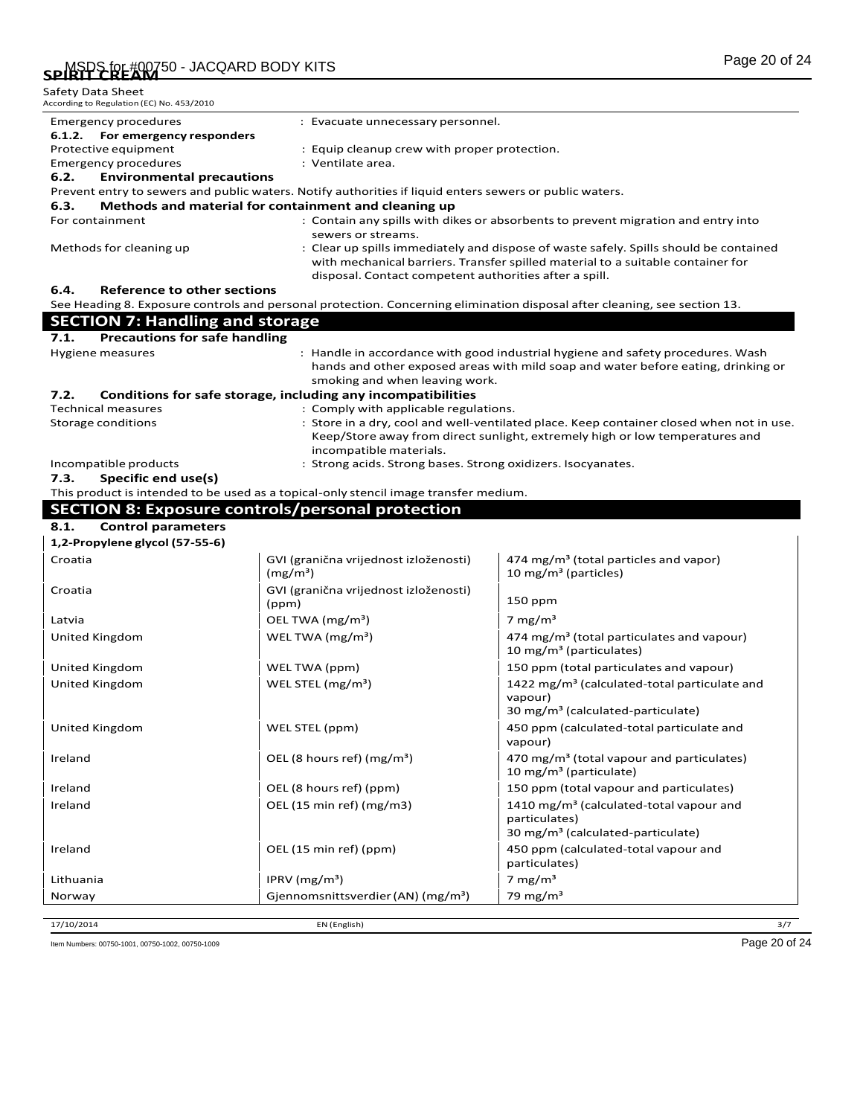| Safety Data Sheet<br>According to Regulation (EC) No. 453/2010 |                                                                                                         |                                                                                                                                                                                                                                    |  |  |
|----------------------------------------------------------------|---------------------------------------------------------------------------------------------------------|------------------------------------------------------------------------------------------------------------------------------------------------------------------------------------------------------------------------------------|--|--|
| Emergency procedures                                           | : Evacuate unnecessary personnel.                                                                       |                                                                                                                                                                                                                                    |  |  |
| 6.1.2.<br>For emergency responders                             |                                                                                                         |                                                                                                                                                                                                                                    |  |  |
| Protective equipment                                           |                                                                                                         | : Equip cleanup crew with proper protection.                                                                                                                                                                                       |  |  |
| <b>Emergency procedures</b>                                    | : Ventilate area.                                                                                       |                                                                                                                                                                                                                                    |  |  |
| 6.2.<br><b>Environmental precautions</b>                       |                                                                                                         |                                                                                                                                                                                                                                    |  |  |
|                                                                | Prevent entry to sewers and public waters. Notify authorities if liquid enters sewers or public waters. |                                                                                                                                                                                                                                    |  |  |
| 6.3.                                                           | Methods and material for containment and cleaning up                                                    |                                                                                                                                                                                                                                    |  |  |
| For containment                                                | sewers or streams.                                                                                      | : Contain any spills with dikes or absorbents to prevent migration and entry into                                                                                                                                                  |  |  |
| Methods for cleaning up                                        |                                                                                                         | : Clear up spills immediately and dispose of waste safely. Spills should be contained<br>with mechanical barriers. Transfer spilled material to a suitable container for<br>disposal. Contact competent authorities after a spill. |  |  |
| Reference to other sections<br>6.4.                            |                                                                                                         |                                                                                                                                                                                                                                    |  |  |
|                                                                |                                                                                                         | See Heading 8. Exposure controls and personal protection. Concerning elimination disposal after cleaning, see section 13.                                                                                                          |  |  |
| <b>SECTION 7: Handling and storage</b>                         |                                                                                                         |                                                                                                                                                                                                                                    |  |  |
| <b>Precautions for safe handling</b><br>7.1.                   |                                                                                                         |                                                                                                                                                                                                                                    |  |  |
| Hygiene measures                                               |                                                                                                         | : Handle in accordance with good industrial hygiene and safety procedures. Wash<br>hands and other exposed areas with mild soap and water before eating, drinking or                                                               |  |  |
| 7.2.                                                           | smoking and when leaving work.<br>Conditions for safe storage, including any incompatibilities          |                                                                                                                                                                                                                                    |  |  |
| <b>Technical measures</b>                                      | : Comply with applicable regulations.                                                                   |                                                                                                                                                                                                                                    |  |  |
| Storage conditions                                             |                                                                                                         | : Store in a dry, cool and well-ventilated place. Keep container closed when not in use.                                                                                                                                           |  |  |
|                                                                | incompatible materials.                                                                                 | Keep/Store away from direct sunlight, extremely high or low temperatures and                                                                                                                                                       |  |  |
| Incompatible products                                          | : Strong acids. Strong bases. Strong oxidizers. Isocyanates.                                            |                                                                                                                                                                                                                                    |  |  |
| 7.3.<br>Specific end use(s)                                    |                                                                                                         |                                                                                                                                                                                                                                    |  |  |
|                                                                | This product is intended to be used as a topical-only stencil image transfer medium.                    |                                                                                                                                                                                                                                    |  |  |
|                                                                | <b>SECTION 8: Exposure controls/personal protection</b>                                                 |                                                                                                                                                                                                                                    |  |  |
| 8.1.<br><b>Control parameters</b>                              |                                                                                                         |                                                                                                                                                                                                                                    |  |  |
| 1,2-Propylene glycol (57-55-6)                                 |                                                                                                         |                                                                                                                                                                                                                                    |  |  |
| Croatia                                                        | GVI (granična vrijednost izloženosti)<br>(mg/m <sup>3</sup> )                                           | 474 mg/m <sup>3</sup> (total particles and vapor)<br>10 mg/m <sup>3</sup> (particles)                                                                                                                                              |  |  |
| Croatia                                                        | GVI (granična vrijednost izloženosti)                                                                   |                                                                                                                                                                                                                                    |  |  |
| Latvia                                                         | (ppm)                                                                                                   | 150 ppm                                                                                                                                                                                                                            |  |  |
|                                                                | OEL TWA (mg/m <sup>3</sup> )                                                                            | 7 mg/m <sup>3</sup>                                                                                                                                                                                                                |  |  |
| United Kingdom                                                 | WEL TWA $(mg/m3)$                                                                                       | 474 mg/m <sup>3</sup> (total particulates and vapour)<br>10 mg/m <sup>3</sup> (particulates)                                                                                                                                       |  |  |
|                                                                |                                                                                                         |                                                                                                                                                                                                                                    |  |  |
| United Kingdom<br>United Kingdom                               | WEL TWA (ppm)<br>WEL STEL $(mg/m3)$                                                                     | 150 ppm (total particulates and vapour)<br>1422 mg/m <sup>3</sup> (calculated-total particulate and<br>vapour)<br>30 mg/m <sup>3</sup> (calculated-particulate)                                                                    |  |  |
| United Kingdom                                                 | WEL STEL (ppm)                                                                                          | 450 ppm (calculated-total particulate and<br>vapour)                                                                                                                                                                               |  |  |
| Ireland                                                        | OEL (8 hours ref) ( $mg/m^3$ )                                                                          | 470 mg/m <sup>3</sup> (total vapour and particulates)<br>10 mg/m <sup>3</sup> (particulate)                                                                                                                                        |  |  |
| Ireland                                                        | OEL (8 hours ref) (ppm)                                                                                 | 150 ppm (total vapour and particulates)                                                                                                                                                                                            |  |  |
| Ireland                                                        | OEL (15 min ref) (mg/m3)                                                                                | 1410 mg/m <sup>3</sup> (calculated-total vapour and<br>particulates)<br>30 mg/m <sup>3</sup> (calculated-particulate)                                                                                                              |  |  |
| Ireland                                                        | OEL (15 min ref) (ppm)                                                                                  | 450 ppm (calculated-total vapour and<br>particulates)                                                                                                                                                                              |  |  |
| Lithuania                                                      | IPRV (mg/m <sup>3</sup> )                                                                               | 7 mg/ $m3$                                                                                                                                                                                                                         |  |  |

17/10/2014 EN (English) 3/7

Item Numbers: 00750-1001, 00750-1002, 00750-1009 Page 20 of 24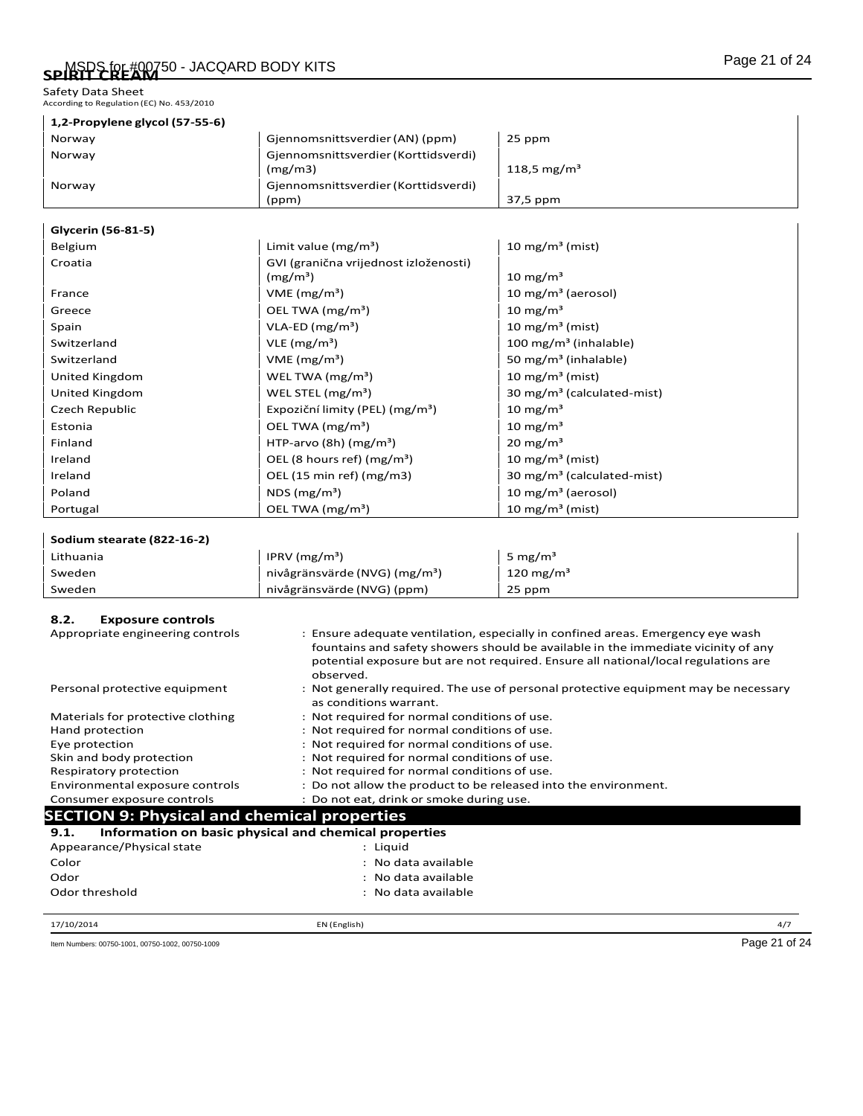Safety Data Sheet<br>According to Regulation (EC) No. 453/2010

 $\mathsf{l}$ 

| 1,2-Propylene glycol (57-55-6) |                                                 |                         |
|--------------------------------|-------------------------------------------------|-------------------------|
| Norway                         | Giennomsnittsverdier (AN) (ppm)                 | 25 ppm                  |
| Norway                         | Gjennomsnittsverdier (Korttidsverdi)<br>(mg/m3) | 118.5 mg/m <sup>3</sup> |
| Norway                         | Gjennomsnittsverdier (Korttidsverdi)            |                         |
|                                | (ppm)                                           | 37,5 ppm                |

#### **Glycerin (56-81-5)**

| Belgium        | Limit value $(mg/m^3)$                              | 10 mg/m <sup>3</sup> (mist)            |
|----------------|-----------------------------------------------------|----------------------------------------|
| Croatia        | GVI (granična vrijednost izloženosti)<br>$(mg/m^3)$ | 10 mg/m <sup>3</sup>                   |
| France         | VME(mg/m <sup>3</sup> )                             | 10 mg/m <sup>3</sup> (aerosol)         |
| Greece         | OEL TWA (mg/m <sup>3</sup> )                        | $10 \text{ mg/m}^3$                    |
| Spain          | $VLA-ED (mg/m3)$                                    | 10 mg/m <sup>3</sup> (mist)            |
| Switzerland    | VLE $(mg/m^3)$                                      | 100 mg/m <sup>3</sup> (inhalable)      |
| Switzerland    | VME(mg/m <sup>3</sup> )                             | 50 mg/m <sup>3</sup> (inhalable)       |
| United Kingdom | WEL TWA (mg/m <sup>3</sup> )                        | 10 mg/m <sup>3</sup> (mist)            |
| United Kingdom | WEL STEL $(mg/m3)$                                  | 30 mg/m <sup>3</sup> (calculated-mist) |
| Czech Republic | Expoziční limity (PEL) (mg/m <sup>3</sup> )         | 10 mg/m <sup>3</sup>                   |
| Estonia        | OEL TWA (mg/m <sup>3</sup> )                        | 10 mg/m <sup>3</sup>                   |
| Finland        | HTP-arvo (8h) $(mg/m3)$                             | $20 \text{ mg/m}^3$                    |
| Ireland        | OEL (8 hours ref) ( $mg/m3$ )                       | 10 mg/m <sup>3</sup> (mist)            |
| Ireland        | OEL $(15 \text{ min ref})$ (mg/m3)                  | 30 mg/m <sup>3</sup> (calculated-mist) |
| Poland         | NDS $(mg/m3)$                                       | 10 mg/m <sup>3</sup> (aerosol)         |
| Portugal       | OEL TWA (mg/m <sup>3</sup> )                        | 10 mg/m <sup>3</sup> (mist)            |

## **Sodium stearate (822-16-2)** Lithuania  $|IPRV (mg/m^3)$  5 mg/m<sup>3</sup> Sweden **nivågränsvärde (NVG) (mg/m**<sup>3</sup>) 120 mg/m<sup>3</sup> Sweden **nivågränsvärde (NVG) (ppm)** 25 ppm

#### **8.2. Exposure controls**

| Appropriate engineering controls                              | : Ensure adequate ventilation, especially in confined areas. Emergency eye wash<br>fountains and safety showers should be available in the immediate vicinity of any<br>potential exposure but are not required. Ensure all national/local regulations are<br>observed. |
|---------------------------------------------------------------|-------------------------------------------------------------------------------------------------------------------------------------------------------------------------------------------------------------------------------------------------------------------------|
| Personal protective equipment                                 | : Not generally required. The use of personal protective equipment may be necessary<br>as conditions warrant.                                                                                                                                                           |
| Materials for protective clothing                             | : Not required for normal conditions of use.                                                                                                                                                                                                                            |
| Hand protection                                               | : Not required for normal conditions of use.                                                                                                                                                                                                                            |
| Eye protection                                                | : Not required for normal conditions of use.                                                                                                                                                                                                                            |
| Skin and body protection                                      | : Not required for normal conditions of use.                                                                                                                                                                                                                            |
| Respiratory protection                                        | : Not required for normal conditions of use.                                                                                                                                                                                                                            |
| Environmental exposure controls                               | : Do not allow the product to be released into the environment.                                                                                                                                                                                                         |
| Consumer exposure controls                                    | : Do not eat, drink or smoke during use.                                                                                                                                                                                                                                |
| <b>SECTION 9: Physical and chemical properties</b>            |                                                                                                                                                                                                                                                                         |
| Information on basic physical and chemical properties<br>9.1. |                                                                                                                                                                                                                                                                         |
| Appearance/Physical state                                     | : Liquid                                                                                                                                                                                                                                                                |
| Color                                                         | : No data available                                                                                                                                                                                                                                                     |
| Odor                                                          | : No data available                                                                                                                                                                                                                                                     |
| Odor threshold                                                | : No data available                                                                                                                                                                                                                                                     |

17/10/2014 EN (English) 4/7

Item Numbers: 00750-1001, 00750-1002, 00750-1009 Page 21 of 24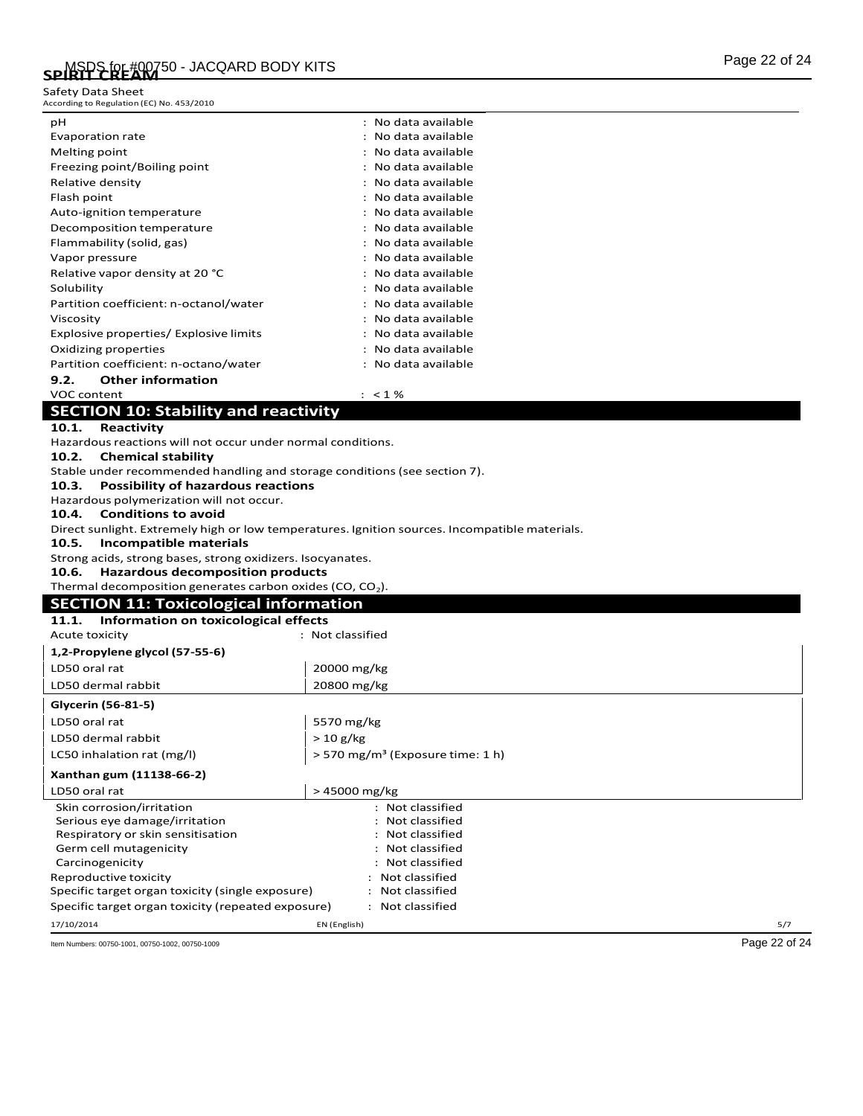Safety Data Sheet<br>According to Regulation (EC) No. 453/2010

| рH                                     | : No data available |
|----------------------------------------|---------------------|
| Evaporation rate                       | : No data available |
| Melting point                          | : No data available |
| Freezing point/Boiling point           | : No data available |
| Relative density                       | : No data available |
| Flash point                            | : No data available |
| Auto-ignition temperature              | : No data available |
| Decomposition temperature              | : No data available |
| Flammability (solid, gas)              | : No data available |
| Vapor pressure                         | : No data available |
| Relative vapor density at 20 °C        | : No data available |
| Solubility                             | : No data available |
| Partition coefficient: n-octanol/water | : No data available |
| Viscosity                              | : No data available |
| Explosive properties/ Explosive limits | : No data available |
| Oxidizing properties                   | : No data available |
| Partition coefficient: n-octano/water  | : No data available |
| <b>Other information</b><br>9.2.       |                     |

#### VOC content  $\cdot$  : <1 %

## **SECTION 10: Stability and reactivity**

**10.1. Reactivity**

Hazardous reactions will not occur under normal conditions.

**10.2. Chemical stability**

Stable under recommended handling and storage conditions(see section 7).

**10.3. Possibility of hazardous reactions**

Hazardous polymerization will not occur.

#### **10.4. Conditions to avoid**

Direct sunlight. Extremely high or low temperatures. Ignition sources. Incompatible materials.

**10.5. Incompatible materials**

Strong acids, strong bases, strong oxidizers. Isocyanates.

**10.6. Hazardous decomposition products**

Thermal decomposition generates carbon oxides (CO,  $CO<sub>2</sub>$ ).

| <b>SECTION 11: Toxicological information</b>  |                  |  |
|-----------------------------------------------|------------------|--|
| Information on toxicological effects<br>11.1. |                  |  |
| Acute toxicity                                | : Not classified |  |
| 1,2-Propylene glycol (57-55-6)                |                  |  |
| LD50 oral rat                                 | 20000 mg/kg      |  |
| LD50 dermal rabbit                            | 20800 mg/kg      |  |
| Glycerin (56-81-5)                            |                  |  |
| LD50 oral rat                                 | 5570 mg/kg       |  |
| LD50 dermal rabbit                            | $> 10$ g/kg      |  |

LC50 inhalation rat (mg/l)  $\vert$  > 570 mg/m<sup>3</sup> (Exposure time: 1 h) **Xanthan gum (11138-66-2)**

| LD50 oral rat                                      | >45000 mg/kg     |     |
|----------------------------------------------------|------------------|-----|
| Skin corrosion/irritation                          | : Not classified |     |
| Serious eye damage/irritation                      | : Not classified |     |
| Respiratory or skin sensitisation                  | : Not classified |     |
| Germ cell mutagenicity                             | : Not classified |     |
| Carcinogenicity                                    | : Not classified |     |
| Reproductive toxicity                              | : Not classified |     |
| Specific target organ toxicity (single exposure)   | : Not classified |     |
| Specific target organ toxicity (repeated exposure) | : Not classified |     |
| 17/10/2014                                         | EN (English)     | 5/7 |

Item Numbers: 00750-1001, 00750-1002, 00750-1009 Page 22 of 24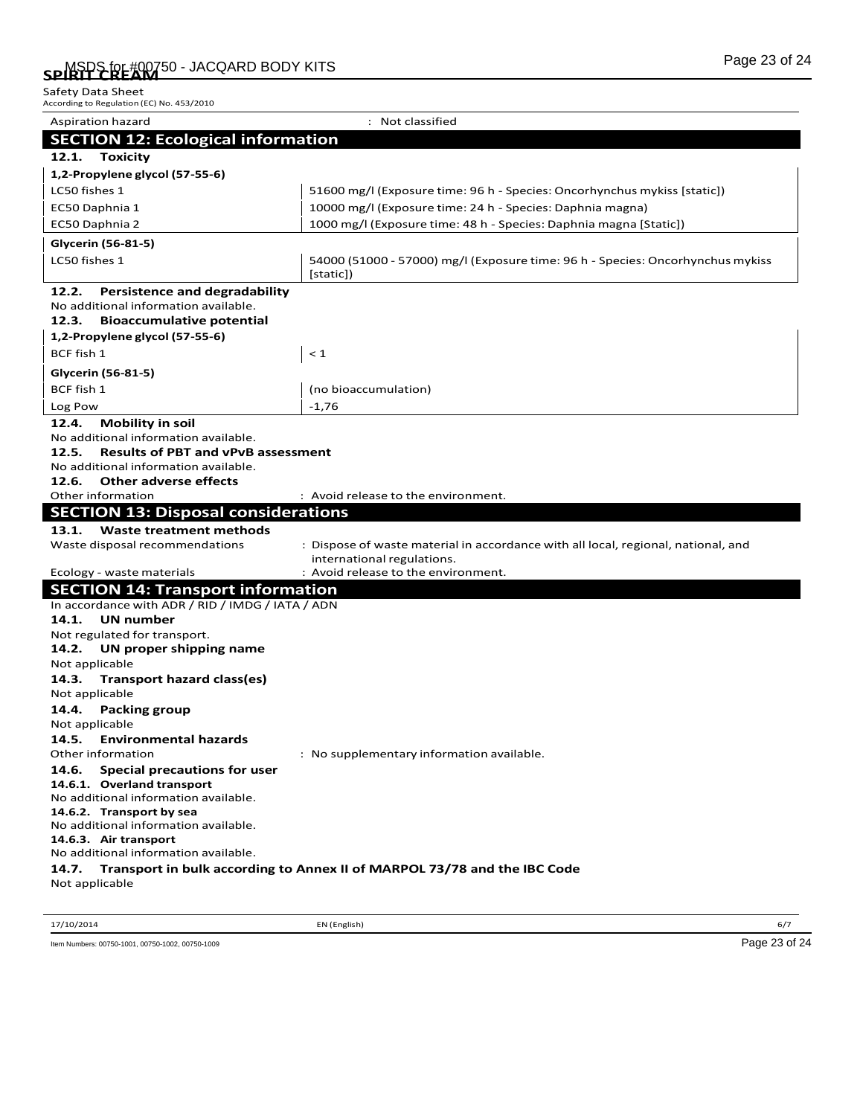| According to Reguiation (EC) No. 453/2010                                             |                                                                                                                 |
|---------------------------------------------------------------------------------------|-----------------------------------------------------------------------------------------------------------------|
| Aspiration hazard                                                                     | : Not classified                                                                                                |
| <b>SECTION 12: Ecological information</b>                                             |                                                                                                                 |
| <b>Toxicity</b><br>12.1.                                                              |                                                                                                                 |
| 1,2-Propylene glycol (57-55-6)                                                        |                                                                                                                 |
| LC50 fishes 1                                                                         | 51600 mg/l (Exposure time: 96 h - Species: Oncorhynchus mykiss [static])                                        |
| EC50 Daphnia 1                                                                        | 10000 mg/l (Exposure time: 24 h - Species: Daphnia magna)                                                       |
| EC50 Daphnia 2                                                                        | 1000 mg/l (Exposure time: 48 h - Species: Daphnia magna [Static])                                               |
|                                                                                       |                                                                                                                 |
| Glycerin (56-81-5)                                                                    |                                                                                                                 |
| LC50 fishes 1                                                                         | 54000 (51000 - 57000) mg/l (Exposure time: 96 h - Species: Oncorhynchus mykiss                                  |
|                                                                                       | [static])                                                                                                       |
| 12.2.<br><b>Persistence and degradability</b><br>No additional information available. |                                                                                                                 |
| 12.3.<br><b>Bioaccumulative potential</b>                                             |                                                                                                                 |
| 1,2-Propylene glycol (57-55-6)                                                        |                                                                                                                 |
| BCF fish 1                                                                            | $\leq 1$                                                                                                        |
|                                                                                       |                                                                                                                 |
| Glycerin (56-81-5)                                                                    |                                                                                                                 |
| BCF fish 1                                                                            | (no bioaccumulation)                                                                                            |
| Log Pow                                                                               | $-1,76$                                                                                                         |
| <b>Mobility in soil</b><br>12.4.                                                      |                                                                                                                 |
| No additional information available.                                                  |                                                                                                                 |
| 12.5.<br><b>Results of PBT and vPvB assessment</b>                                    |                                                                                                                 |
| No additional information available.<br>12.6.<br><b>Other adverse effects</b>         |                                                                                                                 |
| Other information                                                                     | : Avoid release to the environment.                                                                             |
| <b>SECTION 13: Disposal considerations</b>                                            |                                                                                                                 |
|                                                                                       |                                                                                                                 |
| 13.1.<br><b>Waste treatment methods</b>                                               |                                                                                                                 |
| Waste disposal recommendations                                                        | : Dispose of waste material in accordance with all local, regional, national, and<br>international regulations. |
| Ecology - waste materials                                                             | : Avoid release to the environment.                                                                             |
| <b>SECTION 14: Transport information</b>                                              |                                                                                                                 |
| In accordance with ADR / RID / IMDG / IATA / ADN                                      |                                                                                                                 |
| <b>UN number</b><br>14.1.                                                             |                                                                                                                 |
| Not regulated for transport.                                                          |                                                                                                                 |
| 14.2.<br>UN proper shipping name                                                      |                                                                                                                 |
| Not applicable                                                                        |                                                                                                                 |
| 14.3.<br>Transport hazard class(es)                                                   |                                                                                                                 |
| Not applicable<br>14.4.<br><b>Packing group</b>                                       |                                                                                                                 |
| Not applicable                                                                        |                                                                                                                 |
| 14.5.<br><b>Environmental hazards</b>                                                 |                                                                                                                 |
| Other information                                                                     | : No supplementary information available.                                                                       |
| 14.6.<br>Special precautions for user                                                 |                                                                                                                 |
| 14.6.1. Overland transport                                                            |                                                                                                                 |
| No additional information available.                                                  |                                                                                                                 |
| 14.6.2. Transport by sea                                                              |                                                                                                                 |
| No additional information available.                                                  |                                                                                                                 |
| 14.6.3. Air transport<br>No additional information available.                         |                                                                                                                 |
| 14.7.                                                                                 | Transport in bulk according to Annex II of MARPOL 73/78 and the IBC Code                                        |
| Not applicable                                                                        |                                                                                                                 |
|                                                                                       |                                                                                                                 |

17/10/2014 EN (English) 6/7

Item Numbers: 00750-1001, 00750-1002, 00750-1009 Page 23 of 24